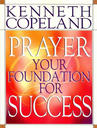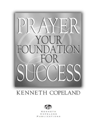

### KENNETH COPELAND



KENNETH COPELAND P **ICATIONS**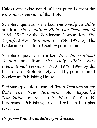Unless otherwise noted, all scripture is from the *King James Version* of the Bible.

Scripture quotations marked *The Amplified Bible* are from *The Amplified Bible, Old Testament* © 1965, 1987 by the Zondervan Corporation. *The Amplified New Testament* © 1958, 1987 by The Lockman Foundation. Used by permission.

Scripture quotations marked *New International Version* are from *The Holy Bible, New International Version*© 1973, 1978, 1984 by the International Bible Society. Used by permission of Zondervan Publishing House.

Scripture quotations marked *Wuest Translation* are from *The New Testament: An Expanded Translation* by Kenneth S. Wuest © Wm. B. Eerdmans Publishing Co. 1961. All rights reserved.

*Prayer—Your Foundation for Success*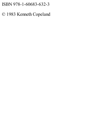#### ISBN 978-1-60683-632-3

#### © 1983 Kenneth Copeland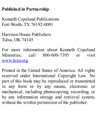#### **Published in Partnership**

Kenneth Copeland Publications Fort Worth, TX 76192-0001

Harrison House Publishers Tulsa, OK 74145

For more information about Kenneth Copeland Ministries, call 800-600-7395 or visit www.kcm.org.

Printed in the United States of America. All rights reserved under International Copyright Law. No part of this book may be reproduced or transmitted in any form or by any means, electronic or mechanical, including photocopying, recording, or by any information storage and retrieval system, without the written permission of the publisher.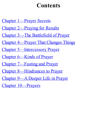## **Contents**

Chapter 1—Prayer Secrets

- Chapter 2—Praying for Results
- Chapter 3—The Battlefield of Prayer
- Chapter 4—Prayer That Changes Things
- Chapter 5—Intercessory Prayer
- Chapter 6—Kinds of Prayer
- Chapter 7—Fasting and Prayer
- Chapter 8—Hindrances to Prayer
- Chapter 9—A Deeper Life in Prayer
- Chapter 10—Prayers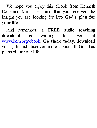We hope you enjoy this eBook from Kenneth Copeland Ministries…and that you received the insight you are looking for into **God's plan for your life**.

And remember, a **FREE audio teaching download** is waiting for you at www.kcm.org/ebook. **Go there today,** download your gift and discover more about all God has planned for your life!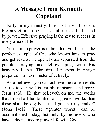## **A Message From Kenneth Copeland**

Early in my ministry, I learned a vital lesson: For any effort to be successful, it must be backed by prayer. Effective praying is the key to success in every area of life.

Your aim in prayer is to be effective. Jesus is the perfect example of One who knows how to pray and get results. He spent hours separated from the people, praying and fellowshiping with His heavenly Father. The time He spent in prayer prepared Him to minister effectively.

As a believer, you can achieve the same results Jesus did during His earthly ministry—and more. Jesus said, "He that believeth on me, the works that I do shall he do also; and greater works than these shall he do; because I go unto my Father" (John 14:12). These "greater works" can be accomplished today, but only by believers who have a deep, sincere prayer life with God.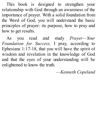This book is designed to strengthen your relationship with God through an awareness of the importance of prayer. With a solid foundation from the Word of God, you will understand the basic principles of prayer: its purpose, how to pray and how to get results.

As you read and study *Prayer—Your Foundation for Success,* I pray, according to Ephesians 1:17-18, that you will have the spirit of wisdom and revelation in the knowledge of God and that the eyes of your understanding will be enlightened to know the truth.

—*Kenneth Copeland*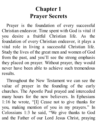## **Chapter 1 Prayer Secrets**

Prayer is the foundation of every successful Christian endeavor. Time spent with God is vital if you desire a fruitful Christian life. As the foundation of every Christian endeavor, it plays a vital role in living a successful Christian life. Study the lives of the great men and women of God from the past, and you'll see the strong emphasis they placed on prayer. Without prayer, they would never have been able to achieve such tremendous results.

Throughout the New Testament we can see the value of prayer in the founding of the early churches. The Apostle Paul prayed and interceded many hours for the new believers. In Ephesians 1:16 he wrote, "[I] Cease not to give thanks for you, making mention of you in my prayers." In Colossians 1:3 he said, "We give thanks to God and the Father of our Lord Jesus Christ, praying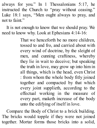always for you." In 1 Thessalonians 5:17, he instructed the Church to "pray without ceasing." Luke 18:1 says, "Men ought always to pray, and not to faint."

It is not enough to know that we should pray. We need to know why. Look at Ephesians 4:14-16:

> That we henceforth be no more children, tossed to and fro, and carried about with every wind of doctrine, by the sleight of men, and cunning craftiness, whereby they lie in wait to deceive; but speaking the truth in love, may grow up into him in all things, which is the head, even Christ : from whom the whole body fitly joined together and compacted by that which every joint supplieth, according to the effectual working in the measure of every part, maketh increase of the body unto the edifying of itself in love.

Compare the Body of Christ to a brick building. The bricks would topple if they were not joined together. Mortar forms those bricks into a solid,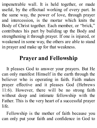impenetrable wall. It is held together, or made useful, by the effectual working of every part. In the same way, the power of love, through prayer and intercession, is the mortar which knits the Body of Christ together. Each member, or "brick," contributes his part by building up the Body and strengthening it through prayer. If one is injured, or weakened in some way, the others are able to stand in prayer and make up for that weakness.

#### **Prayer and Fellowship**

It pleases God to answer your prayers. But He can only manifest Himself in the earth through the believer who is operating in faith. Faith makes prayer effective and it pleases God (Hebrews 11:6). However, there will be no strong faith without deep and intimate fellowship with the Father. This is the very heart of a successful prayer life.

Fellowship is the mother of faith because you can only put your faith and confidence in God to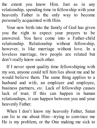the extent you know Him. Just as in any relationship, spending time in fellowship with your heavenly Father is the only way to become personally acquainted with Him.

Your new birth into the family of God has given you the right to expect your prayers to be answered. You have come into a Father-child relationship. Relationship without fellowship, however, is like marriage without love. In a loveless marriage, two people are related but don't really know each other.

If I never spent quality time fellowshiping with my son, anyone could tell him lies about me and he would believe them. The same thing applies to a husband and wife, an employer and employee, business partners, *etc.* Lack of fellowship causes lack of trust. If this can happen in human relationships, it can happen between you and your heavenly Father.

When I don't know my heavenly Father, Satan can lie to me about Him—trying to convince me He is my problem, or the One making me sick to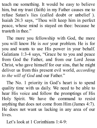teach me something. It would be easy to believe him, but my trust (faith) in my Father causes me to refuse Satan's lies (called doubt or unbelief ). Isaiah 26:3 says, "Thou wilt keep him in perfect peace, whose mind is stayed on thee: because he trusteth in thee."

The more you fellowship with God, the more you will know He is *not* your problem. He is for you and wants to use His power in your behalf. Galatians 1:3-4 says, "Grace be to you and peace from God the Father, and from our Lord Jesus Christ, who gave himself for our sins, that he might deliver us from this present evil world, *according to the will of God* and our Father."

The No. 1 priority in God's heart is to spend quality time with us daily. We need to be able to hear His voice and follow the promptings of His Holy Spirit. We have the command to resist anything that does not come from Him (James 4:7). He does not want us lacking in any area of our lives.

Let's look at 1 Corinthians 1:4-9: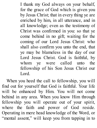I thank my God always on your behalf, for the grace of God which is given you by Jesus Christ; that in every thing ye are enriched by him, in all utterance, and in all knowledge; even as the testimony of Christ was confirmed in you: so that ye come behind in no gift; waiting for the coming of our Lord Jesus Christ: who shall also confirm you unto the end, that ye may be blameless in the day of our Lord Jesus Christ. God is faithful, by whom ye were called unto the fellowship of his Son Jesus Christ our Lord.

When you heed the call to fellowship, you will find out for yourself that God is faithful. Your life will be enhanced by Him. You will not come behind in any area. When you know Him through fellowship you will operate out of your spirit, where the faith and power of God reside. Operating in mere head knowledge of the Word, or "mental assent," will keep you from tapping in to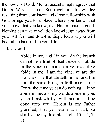the power of God. Mental assent simply agrees that God's Word is true. But revelation knowledge resulting from consistent and close fellowship with God brings you to a place where you know, that you know, that you know, that His promise is good. Nothing can take revelation knowledge away from you! All fear and doubt is dispelled and you will bear abundant fruit in your life.

Jesus said,

Abide in me, and I in you. As the branch cannot bear fruit of itself, except it abide in the vine; no more can ye, except ye abide in me. I am the vine, ye are the branches: He that abideth in me, and I in him, the same bringeth forth much fruit: For without me ye can do nothing.... If ye abide in me, and my words abide in you, ye shall ask what ye will, and it shall be done unto you. Herein is my Father glorified, that ye bear much fruit; so shall ye be my disciples (John 15:4-5, 7- 8).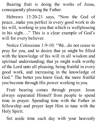Bearing fruit is doing the works of Jesus, consequently pleasing the Father.

Hebrews 13:20-21 says, "Now the God of peace...make you perfect in every good work to do his will, working in you that which is wellpleasing in his sight…." This is a clear example of God's will for every believer.

Notice Colossians 1:9-10: "We...do not cease to pray for you, and to desire that ye might be filled with the knowledge of his will in all wisdom and spiritual understanding; that ye might walk worthy of the Lord unto all pleasing, being fruitful in every good work, and increasing in the knowledge of God." The better you know God, the more fruitful you become through His power working in you.

Fruit bearing comes through prayer. Jesus always separated Himself from people to spend time in prayer. Spending time with the Father in fellowship and prayer kept Him in tune with the Holy Spirit.

Set aside time each day with your heavenly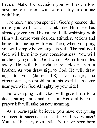Father. Make the decision you will not allow anything to interfere with your quality time alone with Him.

The more time you spend in God's presence, the more you will act and think like Him. He has already given you His nature. Fellowshiping with Him will cause your desires, attitudes, actions and beliefs to line up with His. Then, when you pray, you will simply be voicing His will. The reality of God will burn into your consciousness. You will not be crying out to a God who is 92 million miles away. He will be right there—closer than a brother. As you draw nigh to God, He will draw nigh to you (James 4:8). No danger, no circumstance, no problem in this world can come near you with God Almighty by your side!

Fellowshiping with God will give birth to a deep, strong faith and trust in His ability. Your prayer life will take on new meaning.

As a born-again believer, you have everything you need to succeed in this life. God is a winner! You are His very own child. You have been born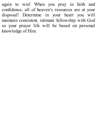again to win! When you pray in faith and confidence, all of heaven's resources are at your disposal! Determine in your heart you will maintain consistent, intimate fellowship with God so your prayer life will be based on personal knowledge of Him.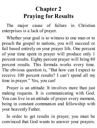# **Chapter 2 Praying for Results**

The major cause of failure in Christian enterprises is a lack of prayer.

Whether your goal is to witness to one man or to preach the gospel to nations, you will succeed or fail based entirely on your prayer life. One percent of your time spent in prayer will produce only 1 percent results. Eighty percent prayer will bring 80 percent results. This formula works every time. The obvious question is, "But how can I expect to receive 100 percent results? I can't spend all my time in prayer." Yes, you can!

Prayer is an attitude. It involves more than just making requests. It is communicating with God. You can live in an attitude of prayer every moment, being in constant communion and fellowship with your heavenly Father.

In order to get results in prayer, you must be convinced that God wants to answer your prayers.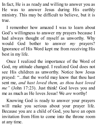In fact, He is as ready and willing to answer you as He was to answer Jesus during His earthly ministry. This may be difficult to believe, but it is true.

I remember how amazed I was to learn about God's willingness to answer my prayers because I had always thought of myself as unworthy. Why would God bother to answer *my* prayers? Ignorance of His Word kept me from receiving His best in my life.

Once I realized the importance of the Word of God, my attitude changed. I realized God does not see His children as unworthy. Notice how Jesus prayed: "...that the world may know that thou hast sent me, *and hast loved them, as thou hast loved me"* (John 17:23). Just think! God loves you and me as much as He loves Jesus! We *are* worthy!

Knowing God is ready to answer your prayers will make you serious about your prayer life. Because you are a child of God, you have an open invitation from Him to come into the throne room at any time.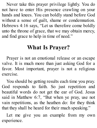Never take this prayer privilege lightly. You do not have to enter His presence crawling on your hands and knees. You can boldly stand before God without a sense of guilt, shame or condemnation. Hebrews 4:16 says, "Let us therefore come boldly unto the throne of grace, that we may obtain mercy, and find grace to help in time of need."

### **What Is Prayer?**

Prayer is not an emotional release or an escape valve. It is much more than just asking God for a favor. Most important, prayer is not a religious exercise.

You should be getting results each time you pray. God responds to faith. So just repetition and beautiful words do not get the ear of God. Jesus said in Matthew 6:7, "But when ye pray, use not vain repetitions, as the heathen do: for they think that they shall be heard for their much speaking."

Let me give you an example from my own experience.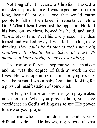Not long after I became a Christian, I asked a minister to pray for me. I was expecting to hear a long, beautiful prayer— one that would cause people to fall on their knees in repentance before God! What I heard was just the opposite. He laid his hand on my chest, bowed his head, and said, "Lord, bless him. Meet his every need." He then turned and walked away. I was left standing there thinking, *How could he do that to me? I have big problems. It should have taken at least 20 minutes of hard praying to cover everything.*

The major difference separating that minister and me was the degree of faith at work in our lives. He was operating in faith, praying exactly what he meant. I was a baby Christian, looking for a physical manifestation of some kind.

The length of time or how hard you pray makes no difference. When you pray in faith, you have confidence in God's willingness to use His power to answer your prayer.

The man who has confidence in God is very difficult to defeat. He knows, regardless of what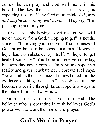comes, he can pray and God will move in his behalf. The key then, to success in prayer, is expecting results. Many Christians think, *I'll pray and maybe something will happen.* They say, "I'm just hoping and praying."

If you are only hoping to get results, you will never receive from God. "Hoping to get" is not the same as "believing you receive." The promises of God bring hope in hopeless situations. However, hope has no substance by itself. "I hope to get healed someday." You hope to receive someday, but someday never comes. Faith brings hope into reality and gives it substance. Hebrews 11:1 says, "Now faith is the substance of things hoped for, the evidence of things not seen." The object of hope becomes a reality through faith. Hope is always in the future. Faith is always now.

Faith causes you to receive from God. The believer who is operating in faith believes God's power went to work the moment he prayed.

### **God's Word in Prayer**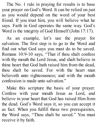The No. 1 rule in praying for results is to base your prayer on God's Word. It can be relied on just as you would depend on the word of your best friend. If you trust him, you will believe what he says. Faith in God operates the same way. God's Word is the integrity of God Himself (John 17:17).

As an example, let's use the prayer for salvation. The first step is to go to the Word and find out what God says you must do to be saved. Romans 10:9-10 says, "That if thou shalt confess with thy mouth the Lord Jesus, and shalt believe in thine heart that God hath raised him from the dead, thou shalt be saved. For with the heart man believeth unto righteousness; and with the mouth confession is made unto salvation."

Make this scripture the basis of your prayer. Confess with your mouth Jesus as Lord, and believe in your heart that God has raised Him from the dead. God's Word says it, so you can accept it as fact. When you fulfill these two prerequisites, the Word says, "Thou shalt be saved." You must receive it by faith.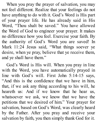When you pray the prayer of salvation, you may not feel different. Realize that your feelings do not have anything to do with it. God's Word is His part of your prayer life. He has already said in His Word, "Thou shalt be saved." You have allowed the Word of God to engineer your prayer. It makes no difference how you feel. Exercise your faith. By the authority of God's Word you are saved! In Mark 11:24 Jesus said, "What things soever ye desire, when ye pray, believe that ye receive them, and ye shall have them."

God's Word is His will. When you pray in line with the Word, you have automatically prayed in line with God's will. First John 5:14-15 says, "And this is the confidence that we have in him, that, if we ask any thing according to his will, he heareth us: And if we know that he hear us, whatsoever we ask, we know that we have the petitions that we desired of him." Your prayer for salvation, based on God's Word, was clearly heard by the Father. After you pray and receive your salvation by faith, you then simply thank God for it.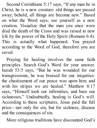Second Corinthians 5:17 says, "If any man be in Christ, he is a new creature: old things are passed away; behold, all things are become new." Based on what the Word says, see yourself as a new creation. Visualize that the man you once were died the death of the Cross and was raised to new life by the power of the Holy Spirit (Romans 6:4). This is actually what happened. You prayed according to the Word of God, therefore you are saved.

Praying for healing involves the same faith principles. Search God's Word for your answer. Isaiah 53:5 says, "But he was wounded for our transgressions, he was bruised for our iniquities: the chastisement of our peace was upon him; and with his stripes we are healed." Matthew 8:17 says, "Himself took our infirmities, and bare our sicknesses." Undoubtedly, healing is God's will. According to these scriptures, Jesus paid the full price—not only for sin, but for sickness, disease and the consequences of sin.

More religious traditions have discounted God's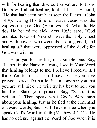will for healing than discredit salvation. To know God's will about healing, look at Jesus. He said, "He that hath seen me hath seen the Father" (John 14:9). During His time on earth, Jesus was the express image of God (Hebrews 1:3). What did He do? He healed the sick. Acts 10:38 says, "God anointed Jesus of Nazareth with the Holy Ghost and with power: who went about doing good, and healing *all* that were oppressed of the devil; for God was with him."

The prayer for healing is a simple one. Say, "Father, in the Name of Jesus, I see in Your Word that healing belongs to me. I believe I receive it. I thank You for it. I act on it now." Once you have prayed…*trust.* Do not let Satan convince you that you are still sick. He will try his best to sell you his lies. Stand your ground! Say, "Satan, it is written...." Then speak what God's Word says about your healing. Just as he fled at the command of Jesus' words, Satan will have to flee when you speak God's Word in faith (Matthew 4:1-11). He has no defense against the Word of God when it is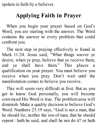spoken in faith by a believer.

## **Applying Faith in Prayer**

When you begin your prayer based on God's Word, you are starting with the answer. The Word contains the answer to every problem that could confront you.

The next step in praying effectively is found in Mark 11:24. Jesus said, "What things soever ye desire, when ye pray, believe that ye receive them, and ye shall have them." This places a qualification on your prayer. You must believe you receive when you pray. Don't wait until the manifestation comes to believe you receive.

This will seem very difficult at first. But as you get to know God personally, you will become convinced His Word is true. The problem area will diminish. Make a quality decision to believe God's Word. Numbers 23:19 says, "God is not a man, that he should lie; neither the son of man, that he should repent : hath he said, and shall he not do it? or hath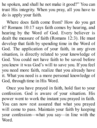he spoken, and shall he not make it good?" You can trust His integrity. When you pray, all you have to do is apply your faith.

Where does faith come from? How do you get it? Romans 10:17 says faith comes by hearing, and hearing by the Word of God. Every believer is dealt the measure of faith (Romans 12:3). He must develop that faith by spending time in the Word of God. The application of your faith, in any given situation, is directly related to your knowledge of God. You could not have faith to be saved before you knew it was God's will to save you. If you feel you need more faith, realize that you already have it. What you need is a more personal knowledge of God, through time in His Word.

Once you have prayed in faith, hold fast to your confession. God is aware of your situation. His power went to work the instant you prayed in faith. You can now rest assured that what you prayed will come to pass. Maintain your faith by keeping your confession—what you say—in line with the Word.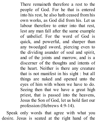There remaineth therefore a rest to the people of God. For he that is entered into his rest, he also hath ceased from his own works, as God did from his. Let us labour therefore to enter into that rest, lest any man fall after the same example of unbelief. For the word of God is quick, and powerful, and sharper than any twoedged sword, piercing even to the dividing asunder of soul and spirit, and of the joints and marrow, and is a discerner of the thoughts and intents of the heart. Neither is there any creature that is not manifest in his sight : but all things are naked and opened unto the eyes of him with whom we have to do. Seeing then that we have a great high priest, that is passed into the heavens, Jesus the Son of God, let us hold fast our profession (Hebrews 4:9-14).

Speak only words that agree with what you desire. Jesus is seated at the right hand of the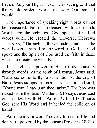Father. As your High Priest, He is seeing to it that the whole system works the way God said it would!

The importance of speaking right words cannot be measured. Faith is released with the mouth. Words are the vehicles. God spoke faith-filled words when He created the universe. Hebrews 11:3 says, "Through faith we understand that the worlds were framed by the word of God...." God spoke and the Spirit of God used the faith in those words to create the worlds.

Jesus released power in His earthly ministr y through words. At the tomb of Lazarus, Jesus said, "Lazarus, come forth," and he did. At the city of Nain, Jesus stopped a funeral procession and said, "Young man, I say unto thee, arise." The boy was raised from the dead. Matthew 8:16 says Jesus cast out the devil with His Word. Psalm 107:20 says God sent His Word and it healed the children of Israel.

Words carry power. The very forces of life and death are powered by the tongue (Proverbs 18:21).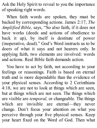Ask the Holy Spirit to reveal to you the importance of speaking right words.

When faith words are spoken, they must be backed by corresponding actions. James 2:17, *The Amplified Bible,* says, "So also faith, if it does not have works (deeds and actions of obedience to back it up), by itself is destitute of power (inoperative, dead)." God's Word instructs us to be doers of what it says and not hearers only. In applying faith, two elements are involved: words and actions. Real Bible faith demands action.

You have to act by faith, not according to your feelings or reasonings. Faith is based on eternal truth and is more dependable than the evidence of your physical senses. According to 2 Corinthians 4:18, we are not to look at things which are seen, but at things which are not seen. The things which are visible are *temporal,* or changeable. The things which are invisible are eternal—they never change. Don't focus your attention on what you perceive through your five physical senses. Keep your heart fixed on the Word of God. Then what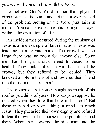you see will come in line with the Word.

To believe God's Word, rather than physical circumstances, is to talk and act the answer instead of the problem. Acting on the Word puts faith in motion. You cannot expect results from your prayer without the operation of faith.

An incident that occurred during the ministry of Jesus is a fine example of faith in action. Jesus was teaching in a private home. The crowd was so large there was no room for anyone else. Some men had brought a sick friend to Jesus to be healed. They could not reach Him because of the crowd, but they refused to be denied. They knocked a hole in the roof and lowered their friend into the room on a stretcher!

The owner of that house thought as much of his roof as you think of yours. How do you suppose he reacted when they tore that hole in his roof? But these men had only one thing in mind—to reach Jesus. They put aside their own dignity and refused to fear the owner of the house or the people around them. When they lowered the sick man into the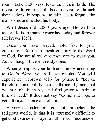room, Luke 5:20 says Jesus *saw* their faith. The invisible force of faith became visible through their actions! In response to faith, Jesus forgave the man's sins and healed his body.

What Jesus did 2,000 years ago, He will do today. He is the same yesterday, today and forever (Hebrews 13:8).

Once you have prayed, hold fast to your confession. Refuse to speak contrary to the Word of God. Do not allow circumstances to sway you. Act as though it were already done.

When you apply your faith accurately, according to God's Word, you will get results. You will experience Hebrews 4:16 for yourself. "Let us therefore come boldly unto the throne of grace, that we may obtain mercy, and find grace to help in time of need." It does not say, "Come and hope to get." It says, "Come and obtain!"

A very misunderstood concept, throughout the religious world, is that it is extremely difficult to get God to answer prayer at all—much less answer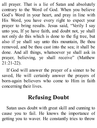all prayer. That is a lie of Satan and absolutely contrary to the Word of God. When you believe God's Word in your heart, and pray in line with His Word, you have every right to expect your prayer to bring results. Jesus said, "Verily I say unto you, If ye have faith, and doubt not, ye shall not only do this which is done to the fig tree, but also if ye shall say unto this mountain, Be thou removed, and be thou cast into the sea; it shall be done. And all things, whatsoever ye shall ask in prayer, believing, ye shall receive" (Matthew 21:21-22).

If God will answer the prayer of a sinner to be saved, He will certainly answer the prayers of born-again believers who come to Him in faith concerning their lives.

# **Refusing Doubt**

Satan uses doubt with great skill and cunning to cause you to fail. He knows the importance of getting you to waver. He constantly tries to throw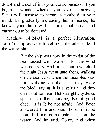doubt and unbelief into your consciousness. If you begin to wonder whether you have the answer, Satan will purpose to secure a foothold in your mind. By gradually increasing his influence, he knows your faith will become ineffective and cause you to be defeated.

Matthew 14:24-31 is a perfect illustration. Jesus' disciples were traveling to the other side of the sea by ship.

> But the ship was now in the midst of the sea, tossed with waves : for the wind was contrary. And in the fourth watch of the night Jesus went unto them, walking on the sea. And when the disciples saw him walking on the sea, they were troubled, saying, It is a spirit ; and they cried out for fear. But straightway Jesus spake unto them, saying, Be of good cheer; it is I; be not afraid. And Peter answered him and said, Lord, if it be thou, bid me come unto thee on the water. And he said, Come. And when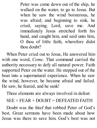Peter was come down out of the ship, he walked on the water, to go to Jesus. But when he saw the wind boisterous, he was afraid; and beginning to sink, he cried, saying, Lord, save me. And immediately Jesus stretched forth his hand, and caught him, and said unto him, O thou of little faith, wherefore didst thou doubt?

When Peter cried out to Jesus, He answered him with one word, *Come*. That command carried the authority necessary to defy all natural power. Faith supported Peter on the water. He stepped out of the boat into a supernatural experience. When he saw the wind, however, he became afraid and failed. He saw, he feared, and he sank!

Three elements are always involved in defeat:

 $SEE + FEAR + DOLIBT = DEFFIATED FAITH$ 

Doubt was the thief that robbed Peter of God's best. Great sermons have been made about how Jesus was there to save him. God's best was not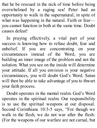that he be rescued in the nick of time before being overwhelmed by a raging sea! Peter had an opportunity to walk in the supernatural, in spite of what was happening in the natural. Faith or fear you cannot function in both at the same time. Doubt causes defeat!

In praying effectively, a vital part of your success is knowing how to refuse doubt, fear and unbelief. If you are concentrating on your circumstances instead of the Word, you are building an inner image of the problem and not the solution. What you see on the inside will determine your attitude. If all you envision is your negative circumstances, you will doubt God's Word. Satan will then be able to take advantage of you to thwart your faith process.

Doubt operates in the mental realm. God's Word operates in the spiritual realm. Our responsibility is to use the spiritual weapons at our disposal. Second Corinthians 10:3-5 says, "For though we walk in the flesh, we do not war after the flesh: (For the weapons of our warfare are not carnal, but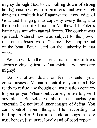mighty through God to the pulling down of strong holds;) casting down imaginations, and every high thing that exalteth itself against the knowledge of God, and bringing into captivity every thought to the obedience of Christ." In Matthew 14, Peter's battle was not with natural forces. The combat was spiritual. Natural law was subject to the power inherent in Jesus' word, "Come." By stepping out of the boat, Peter acted on the authority in that word.

We can walk in the supernatural in spite of life's storms raging against us. Our spiritual weapons are mighty!

Do not allow doubt or fear to enter your consciousness. Maintain control of your mind. Be ready to refuse any thought or imagination contrary to your prayer. When doubt comes, refuse to give it any place. Be selective about the thoughts you entertain. Do not build inner images of defeat! You can control your thought life according to Philippians 4:6-9. Learn to think on things that are true, honest, just, pure, lovely and of good report.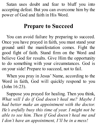Satan uses doubt and fear to bluff you into accepting defeat. But you can overcome him by the power of God and faith in His Word.

#### **Prepare to Succeed**

You can avoid failure by preparing to succeed. Once you have prayed in faith, you must stand your ground until the manifestation comes. Fight the good fight of faith. Stand firm on the Word and believe God for results. Give Him the opportunity to do something with your circumstances. God is on your side! Prepare to succeed, not to fail.

When you pray in Jesus' Name, according to the Word in faith, God will quickly respond to you (John 16:23).

Suppose you prayed for healing. Then you think, *What will I do if God doesn't heal me? Maybe I had better make an appointment with the doctor. He's awfully busy this time of year. I might not be able to see him. Then if God doesn't heal me and I don't have an appointment, I'll be in a mess!*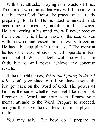With that attitude, praying is a waste of time. The person who thinks that way will be unable to receive from God. Before he prays, he is already preparing to fail. He is double-minded and, according to James 1:8, unstable in all his ways. He is wavering in his mind and will never receive from God. He is like a wave of the sea, driven with the wind and tossed about in every direction. He has a backup plan "just in case." The moment he feels the least bit sick, he will operate in fear and unbelief. When he feels well, he will act in faith, but he will never achieve any concrete results.

If the thought comes, W*hat am I going to do if I fail?*, don't give place to it. If you have a setback, just get back on the Word of God. The power of God is the same whether you feel like it or not. Receive the Word into your heart. Renew your mental attitude to the Word. Prepare to succeed, and you'll receive the manifestation in the physical realm.

You may ask, "But how do I prepare to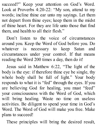succeed?" Keep your attention on God's Word. Look at Proverbs 4:20-22: "My son, attend to my words; incline thine ear unto my sayings. Let them not depart from thine eyes; keep them in the midst of thine heart. For they are life unto those that find them, and health to all their flesh."

Don't listen to the voice of circumstances around you. Keep the Word of God before you. Do whatever is necessary to keep Satan and circumstances under your control. If that means reading the Word 200 times a day, then do it!

Jesus said in Matthew 6:22, "The light of the body is the eye: if therefore thine eye be single, thy whole body shall be full of light." Your body responds to what it is "fed" through the eyes. If you are believing God for healing, you must "feed" your consciousness with the Word of God, which will bring healing. Waste no time on useless activities. Be diligent to spend your time in God's Word. The Word of God will make you free. Make plans to succeed!

These principles will bring the desired result,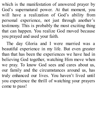which is the manifestation of answered prayer by God's supernatural power. At that moment, you will have a realization of God's ability from personal experience, not just through another's testimony. This is probably the most exciting thing that can happen. You realize God moved because you prayed and used your faith.

The day Gloria and I were married was a beautiful experience in my life. But even greater than that has been the experiences we have had in believing God together, watching Him move when we pray. To know God sees and cares about us, our family and the circumstances around us, has truly enhanced our lives. You haven't lived until you experience the thrill of watching your prayers come to pass!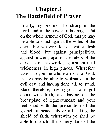## **Chapter 3 The Battlefield of Prayer**

Finally, my brethren, be strong in the Lord, and in the power of his might. Put on the whole armour of God, that ye may be able to stand against the wiles of the devil. For we wrestle not against flesh and blood, but against principalities, against powers, against the rulers of the darkness of this world, against spiritual wickedness in high places. Wherefore take unto you the whole armour of God, that ye may be able to withstand in the evil day, and having done all, to stand. Stand therefore, having your loins girt about with truth, and having on the breastplate of righteousness; and your feet shod with the preparation of the gospel of peace; above all, taking the shield of faith, wherewith ye shall be able to quench all the fiery darts of the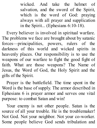wicked. And take the helmet of salvation, and the sword of the Spirit, which is the word of God: praying always with all prayer and supplication in the Spirit... (Ephesians 6:10-18).

Every believer is involved in spiritual warfare. The problems we face are brought about by satanic forces—principalities, powers, rulers of the darkness of this world and wicked spirits in heavenly places. Our responsibility is to use the weapons of our warfare to fight the good fight of faith. What are those weapons? The Name of Jesus, the Word of God, the Holy Spirit and the gifts of the Spirit.

Prayer is the battlefield. The time spent in the Word is the base of supply. The armor described in Ephesians 6 is prayer armor and serves one vital purpose: to combat Satan and win!

Your enemy is not other people. Satan is the source of all your trouble. He is the troublemaker! Not God. Not your neighbor. Not your co-worker. Some people believe God sends tribulation and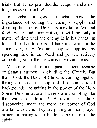trials. But He has provided the weapons and armor to get us *out* of trouble!

In combat, a good strategist knows the importance of cutting the enemy's supply and dividing his troops. Defeat is inevitable. Without food, water and ammunition, it will be only a matter of time until the enemy is in his hands. In fact, all he has to do is sit back and wait. In the same way, if we're not keeping supplied by spending time in the Word and prayer, actively combating Satan, then he can easily overtake us.

Much of our failure in the past has been because of Satan's success in dividing the Church. But thank God, the Body of Christ is coming together throughout the earth. People of all denominational backgrounds are uniting in the power of the Holy Spirit. Denominational barriers are crumbling like the walls of Jericho! Believers are daily discovering, more and more, the power of God available to them. They are putting on their prayer armor, preparing to do battle in the realm of the spirit.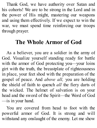Thank God, we have authority over Satan and his cohorts! We are to be strong in the Lord and in the power of His might, mastering our weapons and using them effectively. If we expect to win the war, we must spend time reinforcing our troops through prayer.

#### **The Whole Armor of God**

As a believer, you are a soldier in the army of God. Visualize yourself standing ready for battle with the armor of God protecting you—your loins girt with the truth, the breastplate of righteousness in place, your feet shod with the preparation of the gospel of peace. And *above all,* you are holding the shield of faith to quench *all* the fiery darts of the wicked. The helmet of salvation is on your head and the sword of the Spirit—the Word of God —is in your hand.

You are covered from head to foot with the powerful armor of God. It is strong and will withstand any onslaught of the enemy. Let me show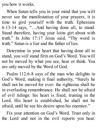you how it works.

When Satan tells you in your mind that you will never see the manifestation of your prayers, it is time to gird yourself with the truth. Ephesians 6:13-14 says, "…And having done all, to stand. Stand therefore, having your loins girt about with truth." In John 17:17 Jesus said, "Thy word is truth." Satan is a liar and the father of lies.

Determine in your heart that having done all to stand, you *will* stand firm on God's Word. You will not be moved by what you see, hear or think. You are only moved by the Word of God.

Psalm 112:6-8 says of the man who delights in God's Word, making it final authority, "Surely he shall not be moved for ever: the righteous shall be in everlasting remembrance. He shall not be afraid of evil tidings: his heart is fixed, trusting in the Lord. His heart is established, he shall not be afraid, until he see his desire upon his enemies."

Fix your attention on God's Word. Trust only in the Lord and not in the evil reports you hear.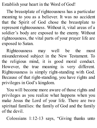Establish your heart in the Word of God!

The breastplate of righteousness has a particular meaning to you as a believer. It was no accident that the Spirit of God chose the breastplate to represent righteousness. Without it, vital areas of a soldier's body are exposed to the enemy. Without righteousness, the vital parts of your prayer life are exposed to Satan.

Righteousness may well be the most misunderstood subject in the New Testament. To the religious mind, it is good moral conduct. However, the true meaning is very different. Righteousness is simply right-standing with God. Because of that right-standing, you have rights and privileges in God's kingdom.

You will become more aware of those rights and privileges as you realize what happens when you make Jesus the Lord of your life. There are two spiritual families: the family of God and the family of the devil.

Colossians 1:12-13 says, "Giving thanks unto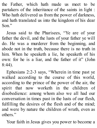the Father, which hath made us meet to be partakers of the inheritance of the saints in light : Who hath delivered us from the power of darkness, and hath translated us into the kingdom of his dear Son."

Jesus said to the Pharisees, "Ye are of your father the devil, and the lusts of your father ye will do. He was a murderer from the beginning, and abode not in the truth, because there is no truth in him. When he speaketh a lie, he speaketh of his own: for he is a liar, and the father of it" (John 8:44).

Ephesians 2:2-3 says, "Wherein in time past ye walked according to the course of this world, according to the prince of the power of the air, the spirit that now worketh in the children of disobedience: among whom also we all had our conversation in times past in the lusts of our flesh, fulfilling the desires of the flesh and of the mind; and were by nature the children of wrath, even as others."

Your faith in Jesus gives you power to become a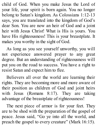child of God. When you make Jesus the Lord of your life, your spirit is born again. You no longer belong to Satan's kingdom. As Colossians 1:12-13 says, you are translated into the kingdom of God's dear Son. You are now an heir of God and a joint heir with Jesus Christ! What is His is yours. You have His righteousness! This is your breastplate. It makes you worthy in the sight of God.

As long as you see yourself unworthy, you will not experience answered prayer to any great degree. But an understanding of righteousness will put you on the road to success. You have a right to resist Satan and expect him to flee.

Believers all over the world are learning their rights. They are becoming more and more aware of their position as children of God and joint heirs with Jesus (Romans 8:17). They are taking advantage of the breastplate of righteousness!

The next piece of armor is for your feet. They are to be shod with the preparation of the gospel of peace. Jesus said, "Go ye into all the world, and preach the gospel to every creature" (Mark 16:15).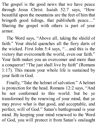The gospel is the good news that we have peace through Jesus Christ. Isaiah 52:7 says, "How beautiful upon the mountains are the feet of him that bringeth good tidings, that publisheth peace...." Sharing the gospel with others is part of your armor.

The Word says, "Above all, taking the shield of faith." Your shield quenches all the fiery darts of the wicked. First John 5:4 says, "…and this is the victory that overcometh the world, even our faith." Your faith makes you an overcomer and more than a conqueror! "The just shall live by faith" (Romans 1:17). This means your whole life is sustained by your faith in God.

Finally, "Take the helmet of salvation." A helmet is protection for the head. Romans 12:2 says, "And be not conformed to this world: but be ye transformed by the renewing of your mind, that ye may prove what is that good, and acceptable, and perfect, will of God." Satan's battleground is your mind. By keeping your mind renewed to the Word of God, you will protect it from Satan's onslaught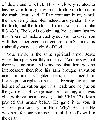of doubt and unbelief. This is closely related to having your loins girt with the truth. Freedom is in the truth. Jesus said, "If ye continue in my word, then are ye my disciples indeed; and ye shall know the truth, and the truth shall make you free" (John 8:31-32). The key is continuing. You cannot just try this. You must make a quality decision to do it. You will then experience the freedom from Satan that is rightfully yours as a child of God.

Your armor is the same spiritual armor Jesus wore during His earthly ministry. "And he saw that there was no man, and wondered that there was no intercessor: therefore his arm brought salvation unto him; and his righteousness, it sustained him. For he put on righteousness as a breastplate, and an helmet of salvation upon his head; and he put on the garments of vengeance for clothing, and was clad with zeal as a cloak" (Isaiah 59:16-17). Jesus proved this armor before He gave it to you. It worked proficiently for Him. Why? Because He was here for one purpose—to fulfill God's will in the earth.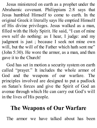Jesus ministered on earth as a prophet under the Abrahamic covenant. Philippians 2:8 says that Jesus humbled Himself to come to earth. In the original Greek it literally says He emptied Himself of His divine privileges. Jesus walked as a man, filled with the Holy Spirit. He said, "I can of mine own self do nothing: as I hear, I judge: and my judgment is just ; because I seek not mine own will, but the will of the Father which hath sent me" (John 5:30). He wore the armor, as a man, and then gave it to the Church!

God has set in motion a security system on earth called "prayer." It includes the whole armor of God and the weapons of our warfare. The principles involved are designed to put a padlock on Satan's forces and give the Spirit of God an avenue through which He can carry out God's will in the lives of His people.

## **The Weapons of Our Warfare**

The armor we have talked about has been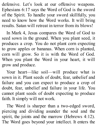defensive. Let's look at our offensive weapons. Ephesians 6:17 says the Word of God is the sword of the Spirit. To handle your sword skillfully, you need to know how the Word works. It will bring results. Satan will retreat in terror from its blows!

In Mark 4, Jesus compares the Word of God to seed sown in the ground. When you plant seed, it produces a crop. You do not plant corn expecting to grow apples or bananas. When corn is planted, corn will grow. So it is with the Word of God. When you plant the Word in your heart, it will grow and produce.

Your heart—like soil—will produce what is sown in it. Plant seeds of doubt, fear, unbelief and failure and you can expect to produce a crop of doubt, fear, unbelief and failure in your life. You cannot plant seeds of doubt expecting to produce faith. It simply will not work.

The Word is sharper than a two-edged sword, piercing and dividing asunder the soul and the spirit, the joints and the marrow (Hebrews 4:12). The Word goes beyond your intellect. It enters the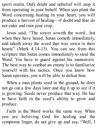spirit realm. Only doubt and unbelief will stop it from operating in your behalf. When you plant the Word concerning healing in your heart, you will produce a harvest of healing—if doubt and fear do not enter and ruin your crop.

Jesus said, "The sower soweth the word....but when they have heard, Satan cometh immediately, and taketh away the word that was sown in their hearts" (Mark 4:14-15). You can see from this scripture that Satan comes immediately to steal the Word. You have to guard against his maneuvers. The best way to combat an enemy is to familiarize yourself with his tactics. Once you know how Satan operates, you will be able to defeat him.

When a man plants seed in the ground, he does not go out a few days later and dig it up to see if it is growing. Seeds never produce that way. He has to have faith in the seed's ability to grow and produce.

Faith in the Word works the same way. When you are believing God for healing and the symptoms linger, do not give up and say, "Well, I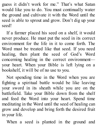guess it didn't work for me." That's what Satan would like you to do. You must continually water the ground and cultivate it with the Word until the seed is able to sprout and grow. Don't dig up your seed!

If a farmer placed his seed on a shelf, it would never produce. He must put the seed in its correct environment for the life in it to come forth. The Word must be treated like that seed. If you need healing, then plant the seed of God's Word concerning healing in the correct environment your heart. When your Bible is left lying on a bookshelf, it will be of no use to you.

Not spending time in the Word when you are fighting a spiritual battle would be like leaving your sword in its sheath while you are on the battlefield. Take your Bible down from the shelf and feed the Word into your heart. Spend time meditating in the Word until the seed of healing can grow and develop and bring forth the desired fruit in your life.

When a seed is planted in the ground and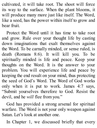cultivated, it will take root. The shoot will force its way to the surface. When the plant blooms, it will produce many more just like itself. The Word, like a seed, has the power within itself to grow and bear fruit.

Protect the Word until it has time to take root and grow. Rule over your thought life by casting down imaginations that exalt themselves against the Word. To be carnally minded, or sense ruled, is death (Romans 8:6). It will kill you. To be spiritually minded is life and peace. Keep your thoughts on the Word. It is the answer to your problem. You will experience life and peace by keeping the end result on your mind, thus protecting the seed of God's Word. The Word of God works only when it is put to work. James 4:7 says, "Submit yourselves therefore to God. Resist the devil, and he *will* flee from you."

God has provided a strong arsenal for spiritual warfare. The Word is not your only weapon against Satan. Let's look at another one.

In Chapter 1, we discussed briefly that every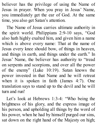believer has the privilege of using the Name of Jesus in prayer. When you pray in Jesus' Name, you immediately get the ear of God. At the same time, you also get Satan's attention.

The Name of Jesus carries ultimate authority in the spirit world. Philippians 2:9-10 says, "God also hath highly exalted him, and given him a name which is above every name: That at the name of Jesus every knee should bow, of things in heaven, and things in earth, and things under the earth." In Jesus' Name, the believer has authority to "tread on serpents and scorpions, and over all the power of the enemy" (Luke 10:19). Satan knows the power invested in that Name and he will retreat when it is spoken in faith (James 4:7). One translation says to stand up to the devil and he will turn and run!

Let's look at Hebrews 1:3-4: "Who being the brightness of his glory, and the express image of his person, and upholding all things by the word of his power, when he had by himself purged our sins, sat down on the right hand of the Majesty on high;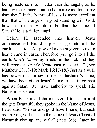being made so much better than the angels, as he hath by inheritance obtained a more excellent name than they." If the Name of Jesus is more excellent than that of the angels in good standing with God, how much more would it be than the name of Satan? He is a fallen angel!

Before He ascended into heaven, Jesus commissioned His disciples to go into all the earth. He said, "All power has been given to me in heaven and in earth. Therefore, *you* go into all the earth. *In My Name* lay hands on the sick and they will recover. *In My Name* cast out devils." (See Matthew 28:18-19; Mark 16:17-18.) Just as a wife has power of attorney to use her husband's name, we have been given Jesus' Name to use in combat against Satan. We have authority to speak His Name in His stead.

When Peter and John ministered to the man at the gate Beautiful, they spoke in the Name of Jesus. Peter said, "Silver and gold have I none; but such as I have give I thee: In the name of Jesus Christ of Nazareth rise up and walk" (Acts 3:6). Later he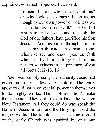explained what had happened. Peter said,

Ye men of Israel, why marvel ye at this? or why look ye so earnestly on us, as though by our own power or holiness we had made this man to walk? The God of Abraham, and of Isaac, and of Jacob, the God of our fathers, hath glorified his Son Jesus.... And his name through faith in his name hath made this man strong, whom ye see and know: yea, the faith which is by him hath given him this perfect soundness in the presence of you all (Acts 3:12-13, 16).

Peter was simply using the authority Jesus had given him only a few days before. The early apostles did not have special power in themselves to do mighty works. Their holiness didn't make them special. They didn't even have the written New Testament. All they could do was speak the Name of Jesus in faith and the Holy Spirit did the mighty works. The fabulous, earthshaking revival of the early Church was sparked by only one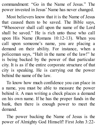commandment: "Go in the Name of Jesus." The power invested in Jesus' Name has never changed.

Most believers know that it is the Name of Jesus that caused them to be saved. The Bible says, "Whosoever shall call upon the name of the Lord shall be saved." He is rich unto those who call upon His Name (Romans 10:12-13). When you call upon someone's name, you are placing a demand on their ability. For instance, when a policeman says, "Halt in the name of the law!" he is being backed by the power of that particular city. It is as if the entire corporate structure of that city is speaking. He is carrying out the power behind the name of the law.

To know how much confidence you can place in a name, you must be able to measure the power behind it. A man writing a check places a demand on his own name. If he has the proper funds in the bank, then there is enough power to meet the demand.

The power backing the Name of Jesus is the power of Almighty God Himself! First John 3:22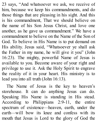23 says, "And whatsoever we ask, we receive of him, because we keep his commandments, and do those things that are pleasing in his sight. And this is his commandment, That we should believe on the name of his Son Jesus Christ, and love one another, as he gave us commandment." We have a commandment to believe on the Name of the Son of God. To believe in His Name is to put demand on His ability. Jesus said, "Whatsoever ye shall ask the Father in my name, he will give it you" (John 16:23). The mighty, powerful Name of Jesus is available to you. Become aware of your right and privilege to use it. Ask the Holy Spirit to engrave the reality of it in your heart. His ministry is to lead you into all truth (John 16:13).

The Name of Jesus is the key to heaven's storehouse. It can do anything Jesus can do. Speaking His Name is standing in His stead. According to Philippians 2:9-11, the entire spectrum of existence—heaven, earth, under the earth—will bow its knee and confess with its mouth that Jesus is Lord to the glory of God the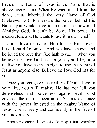Father. The Name of Jesus is the Name that is above every name. When He was raised from the dead, Jesus inherited the very Name of God (Hebrews 1:4). To measure the power behind His Name, you would have to measure the power of Almighty God. It can't be done. His power is measureless and He wants to use it in our behalf.

God's love motivates Him to use His power. First John 4:16 says, "And we have known and believed the love that God hath to us...." When you believe the love God has for you, you'll begin to realize you have as much right to use the Name of Jesus as anyone else. Believe the love God has for you.

Once you recognize the reality of God's love in your life, you will realize He has not left you defenseless and powerless against evil. God covered the entire spectrum of Satan's existence with the power invested in the mighty Name of Jesus. Use it freely and confidently in the face of your adversary!

Another essential aspect of our spiritual warfare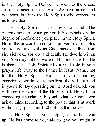is the Holy Spirit. Before He went to the cross, Jesus promised to send Him. We have armor and weapons, but it is the Holy Spirit who empowers us to use them.

The Holy Spirit is the power of God. The effectiveness of your prayer life depends on the degree of confidence you place in the Holy Spirit. He is the power behind your prayers that enables you to live and walk as God intends— free from sin, sickness, sorrow and death. He dwells within you. You may not be aware of His presence, but He is there. The Holy Spirit fills a vital role in your prayer life. Pray to the Father in Jesus' Name, not to the Holy Spirit. He is in you—creating, energizing, working—to perform the will of God in your life. By operating on the Word of God, you will see the work of the Holy Spirit. He will do exceeding abundantly beyond what we can even ask or think according to the power that is at work within us (Ephesians 3:20). He is that power.

The Holy Spirit is your helper, sent to bear you up. He has come to your aid to give you might in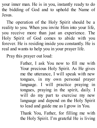your inner man. He is in you, instantly ready to do the bidding of God and to uphold the Name of Jesus.

The operation of the Holy Spirit should be a reality to you. When you invite Him into your life, you receive more than just an experience. The Holy Spirit of God comes to abide with you forever. He is residing inside you constantly. He is real and wants to help you in your prayer life.

Pray this prayer out loud:

Father, I ask You now to fill me with Your precious Holy Spirit. As He gives me the utterance, I will speak with new tongues, in my own personal prayer language. I will practice praying in tongues, praying in the spirit, daily. I will do my part to exercise my new language and depend on the Holy Spirit to lead and guide me as I grow in You.

Thank You, Father, for filling me with the Holy Spirit. I'm grateful He is living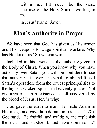within me. I'll never be the same because of the Holy Spirit dwelling in me.

In Jesus' Name. Amen.

## **Man's Authority in Prayer**

We have seen that God has given us His armor and His weapons to wage spiritual warfare. Why has He done this? So we can win!

Included in this arsenal is the authority given to the Body of Christ. When you know why you have authority over Satan, you will be confident to use that authority. It covers the whole rank and file of Satan's operation: from the lowest principalities to the highest wicked spirits in heavenly places. Not one area of human existence is left uncovered by the blood of Jesus. Here's why:

God gave the earth to man. He made Adam in His image and gave him dominion (Genesis 1:28). God said, "Be fruitful, and multiply, and replenish the earth, and subdue it: and have dominion...."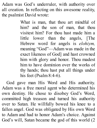Adam was God's underruler, with authority over all creation. In reflecting on this awesome reality, the psalmist David wrote:

> What is man, that thou art mindful of him? and the son of man, that thou visitest him? For thou hast made him a little lower than the angels, [The Hebrew word for angels is *elohiym,* meaning "God"—Adam was made in the exact likeness of God] and hast crowned him with glory and honor. Thou madest him to have dominion over the works of thy hands; thou hast put all things under his feet (Psalm 8:4-6).

God gave man His Word and His authority. Adam was a free moral agent who determined his own destiny. He chose to disobey God's Word, committed high treason and turned his authority over to Satan. He willfully bowed his knee to a fallen angel. God was obligated by His own Word to Adam and had to honor Adam's choice. Against God's will, Satan became the god of this world (2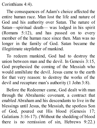Corinthians 4:4).

The consequences of Adam's choice affected the entire human race. Man lost the life and nature of God and his authority over Satan. The nature of Satan—spiritual death— was lodged in his spirit (Romans 5:12), and has passed on to every member of the human race since then. Man was no longer in the family of God. Satan became the illegitimate stepfather of mankind.

To redeem mankind, God had to destroy the union between man and the devil. In Genesis 3:15, God prophesied the coming of the Messiah who would annihilate the devil. Jesus came to the earth for that very reason: to destroy the works of the devil and recapture man's authority (1 John 3:8).

Before the Redeemer came, God dealt with man through the Abrahamic covenant, a contract that enabled Abraham and his descendants to live in the blessings until Jesus, the Messiah, the spotless Son of God, poured out His blood (Genesis 17; Galatians 3:16-17). (Without the shedding of blood there is no remission of sin, Hebrews 9:22.)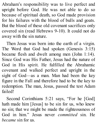Abraham's responsibility was to live perfect and upright before God. He was not able to do so because of spiritual death, so God made provision for his failures with the blood of bulls and goats. But the blood of these old covenant sacrifices only covered sin (read Hebrews 9-10). It could not do away with the sin nature.

Then Jesus was born into the earth of a virgin. The Word that God had spoken (Genesis 3:15) became flesh and dwelt among men (John 1:14). Since God was His Father, Jesus had the nature of God in His spirit. He fulfilled the Abrahamic covenant and walked perfect and upright in the sight of God—as a man. Man had been the key figure in the Fall and therefore had to be the key to redemption. The man, Jesus, passed the test Adam failed!

Second Corinthians 5:21 says, "For he [God] hath made him [Jesus] to be sin for us, who knew no sin; that we might be made the righteousness of God in him." Jesus never *committed* sin. He *became* sin for us.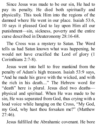Since Jesus was made to be our sin, He had to pay its penalty. He died both spiritually and physically. This took Him into the regions of the damned where He went in our place. Isaiah 53:6, 10 says it pleased God to lay upon Him all our punishment—sin, sickness, poverty and the entire curse described in Deuteronomy 28:16-68.

The Cross was a mystery to Satan. The Word tells us had Satan known what was happening, he would not have crucified the Lord of glory (1 Corinthians 2:7-8).

Jesus went into hell to free mankind from the penalty of Adam's high treason. Isaiah 53:9 says, "And he made his grave with the wicked, and with the rich in his death...." The Hebrew word for "death" here is plural. Jesus died two deaths physical and spiritual. When He was made to be sin, He was separated from God, thus crying with a loud voice while hanging on the Cross, "My God, my God, why hast thou forsaken me?" (Matthew 27:46).

Jesus fulfilled the Abrahamic covenant. He bore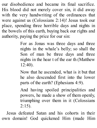our disobedience and became its final sacrifice. His blood did not merely cover sin, it did away with the very handwriting of the ordinances that were against us (Colossians 2:14)! Jesus took our place, spending three horrible days and nights in the bowels of this earth, buying back our rights and authority, paying the price for our sin:

> For as Jonas was three days and three nights in the whale's belly; so shall the Son of man be three days and three nights in the hear t of the ear th (Matthew 12:40).

> Now that he ascended, what is it but that he also descended first into the lower parts of the earth? (Ephesians 4:9).

> And having spoiled principalities and powers, he made a show of them openly, triumphing over them in it (Colossians  $2:15$ ).

Jesus defeated Satan and his cohorts in their own domain! God quickened Him (made Him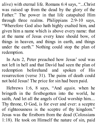alive) with eternal life. Romans 6:4 says, "...Christ was raised up from the dead by the glory of the Father." The power in that life catapulted Him through three realms. Philippians 2:9-10 says, "Wherefore God also hath highly exalted him, and given him a name which is above every name: that at the name of Jesus every knee should bow, of things in heaven, and things in earth, and things under the earth." Nothing could stop the plan of redemption.

In Acts 2, Peter preached how Jesus' soul was not left in hell and that David had seen the plan of redemption beforehand and spoken of His resurrection (verse 31). The pains of death could not hold Jesus! The price for sin had been paid.

Hebrews 1:6, 8 says, "And *again,* when he bringeth in the firstbegotten into the world, he saith, And let all the angels of God worship him.... Thy throne, O God, is for ever and ever: a sceptre of righteousness is the sceptre of thy kingdom." Jesus was the firstborn from the dead (Colossians 1:18). He took on Himself the nature of sin, paid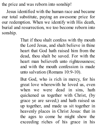the price and was reborn into sonship!

Jesus identified with the human race and became our total substitute, paying an awesome price for our redemption. When we identify with His death, burial and resurrection, we too become reborn into sonship.

> That if thou shalt confess with thy mouth the Lord Jesus, and shalt believe in thine heart that God hath raised him from the dead, thou shalt be saved. For with the heart man believeth unto righteousness; and with the mouth confession is made unto salvation (Romans 10:9-10).

> But God, who is rich in mercy, for his great love wherewith he loved us, even when we were dead in sins, hath quickened us together with Christ, (by grace ye are saved;) and hath raised us up together, and made us sit together in heavenly places in Christ Jesus: that in the ages to come he might show the exceeding riches of his grace in his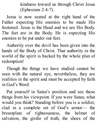kindness toward us through Christ Jesus (Ephesians 2:4-7).

Jesus is now seated at the right hand of the Father expecting His enemies to be made His footstool. Jesus is the Head and we are His Body. The feet are in the Body. He is expecting His enemies to be put under our feet.

Authority over the devil has been given into the hands of the Body of Christ. That authority in the world of the spirit is backed by the whole plan of redemption!

Though the things we have studied cannot be seen with the natural eye, nevertheless, they are realities in the spirit and must be accepted by faith in God's Word.

Put yourself in Satan's position and see these things from his viewpoint. If you were Satan, what would you think? Standing before you is a soldier, clad in a complete set of God's armor— the breastplate of righteousness, the helmet of salvation, the girdle of truth, the shoes of the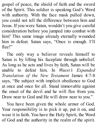gospel of peace, the shield of faith and the sword of the Spirit. This soldier is speaking God's Word with authority. With the face mask pulled down, you could not tell the difference between him and Jesus. If you were Satan, wouldn't you give careful consideration before you jumped into combat with him? This same image already eternally wounded him in defeat. Satan says, "Once is enough. I'll flee!"

The only way a believer reveals himself to Satan is by lifting his faceplate through unbelief. As long as he acts and lives by faith, Satan will be unable to defeat him. In *Wuest's Expanded Translation of the New Testament* James 4:7-8 says, "Be subject with implicit obedience to God at once and once for all. Stand immovable against the onset of the devil and he will flee from you. Draw near to God and He will draw near to you."

You have been given the whole armor of God. Your responsibility is to pick it up, put it on, and wear it in faith. You have the Holy Spirit, the Word of God and the authority in the realm of the spirit.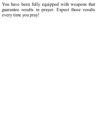You have been fully equipped with weapons that guarantee results in prayer. Expect those results every time you pray!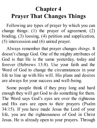## **Chapter 4 Prayer That Changes Things**

Following are types of prayer by which you can change things: (1) the prayer of agreement, (2) binding, (3) loosing, (4) petition and supplication, (5) intercession and (6) united prayer.

Always remember that prayer changes *things*. It doesn't change God. One of the mighty attributes of God is that He is the same yesterday, today and forever (Hebrews 13:8). Use your faith and the Word of God to change the circumstances in your life to line up with His will. His plans and desires are always for your success and well-being.

Some people think if they pray long and hard enough they will get God to do something for them. The Word says God's eyes are over the righteous and His ears are open to their prayers (Psalm 34:15). If you have made Jesus the Lord of your life, you are the righteousness of God in Christ Jesus. He is already open to your prayers. Through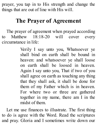prayer, you tap in to His strength and change the things that are out of line with His will.

#### **The Prayer of Agreement**

The prayer of agreement when prayed according to Matthew 18:18-20 will cover every circumstance in life:

> Verily I say unto you, Whatsoever ye shall bind on earth shall be bound in heaven: and whatsoever ye shall loose on earth shall be loosed in heaven. Again I say unto you, That if two of you shall agree on earth as touching any thing that they shall ask, it shall be done for them of my Father which is in heaven. For where two or three are gathered together in my name, there am I in the midst of them.

Let me use finances to illustrate. The first thing to do is agree with the Word. Read the scriptures and pray. Gloria and I sometimes write down our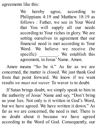agreements like this:

We hereby agree, according to Philippians 4:19 and Matthew 18:19 as follows : Father, we see in Your Word that You will supply all our needs according to Your riches in glory. We are setting ourselves in agreement that our financial need is met according to Your Word. We believe we receive (be specific) \_\_\_\_\_\_\_\_. We establish this agreement, in Jesus' Name. Amen.

Amen means "So be it." As far as we are concerned, the matter is closed. We just thank God from that point forward. We know if we want results *we must not waver.* To waver is to doubt.

If Satan brings doubt, we simply speak to him in the authority of Jesus' Name and say, "Don't bring us your lies. Not only is it written in God's Word, but we have agreed. We have written it down." As far as we are concerned, the need is met. There is no doubt about it because we have agreed according to the Word of God. Consequently, our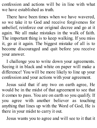confession and actions will be in line with what we have established as truth.

There have been times when we have wavered, so we take it to God and receive forgiveness for unbelief, reinforce our original decree and go at it again. We all make mistakes in the walk of faith. The important thing is to keep walking. If you miss it, go at it again. The biggest mistake of all is to become discouraged and quit before you receive your answer.

I challenge you to write down your agreements. Seeing it in black and white on paper will make a difference! You will be more likely to line up your confession and your actions with your agreement.

Jesus said that if any two on earth agree, He would be in the midst of that agreement to see that it comes to pass. You are on earth so you qualify. If you agree with another believer as touching anything that lines up with the Word of God, He is there in your midst to carry it out.

Jesus wants you to agree and will see to it that it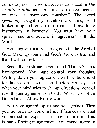comes to pass. The word *agree* is translated in *The Amplified Bible* as "agree and harmonize together or make a symphony together." The word *symphony* caught my attention one time, so I looked it up and found that it means "all available instruments in harmony." You must have your spirit, mind and actions in agreement with the Word.

Agreeing spiritually is to agree with the Word of God. Make up your mind God's Word is true and that it will come to pass.

Secondly, be strong in your mind. That is Satan's battleground. You must control your thoughts. Writing down your agreement will be beneficial for this reason. It will keep it before your eyes so when your mind tries to change directions, control it with your agreement on God's Word. Do not tie God's hands. Allow Him to work.

You have agreed, spirit and soul (mind). Then your actions must come in line. If finances are what you agreed on, expect the money to come in. This is part of being in agreement. You cannot agree in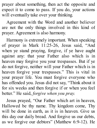prayer about something, then act the opposite and expect it to come to pass. If you do, your actions will eventually take over your thinking.

Agreement with the Word and another believer are not the only things involved in this kind of prayer. Agreement is also harmony.

Harmony is extremely important. When speaking of prayer in Mark 11:25-26, Jesus said, "And when ye stand praying, forgive, if ye have aught against any: that your Father also which is in heaven may forgive you your trespasses. But if ye do not forgive, neither will your Father which is in heaven forgive your trespasses." This is vital in your prayer life. You must forgive everyone who has offended you. Jesus did not say, "Think about it for six weeks and then forgive if or when you feel better." He said, *forgive when you pray.*

Jesus prayed, "Our Father which art in heaven, Hallowed be thy name. Thy kingdom come, Thy will be done in earth, as it is in heaven. Give us this day our daily bread. And forgive us our debts, as we forgive our debtors" (Matthew 6:9-12). He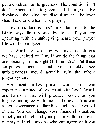put a condition on forgiveness. The condition is "I don't expect to be forgiven until I forgive." He displayed the kind of discipline the believer should exercise when he is praying.

How important is this? In Galatians 5:6, the Bible says faith works by love. If you are operating with an unforgiving heart, your prayer life will be paralyzed.

The Word says we know we have the petitions we have desired of Him, if we do the things that are pleasing in His sight (1 John 3:22). Put these scriptures together and you quickly see unforgiveness would actually ruin the whole prayer system.

Agreement makes prayer work. You can experience a place of agreement with God's Word, and harmony that will produce power, as you forgive and agree with another believer. You can affect governments, families and the lives of others. You can change your financial situation, affect your church and your pastor with the power of prayer. Find someone who can agree with you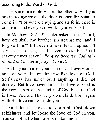according to the Word of God.

The same principle works the other way. If you are in *dis-*agreement, the door is open for Satan to come in. "For where envying and strife is, there is confusion and every evil work" (James 3:16).

In Matthew 18:21-22, Peter asked Jesus, "Lord, how oft shall my brother sin against me, and I forgive him?" till seven times? Jesus replied, "I say not unto thee, Until seven times: but, Until seventy times seven." *Forgive because God said to, and not because you feel like it.*

Build your home, your church and every other area of your life on the unselfish love of God. Selfishness has never built anything it did not destroy. But love never fails. The love of God is the very center of the family of God because God is love. You are His very own child, born again with His love nature inside you.

Don't let that love lie dormant. Cast down selfishness and let loose the love of God in you. You cannot fail when love is in dominion.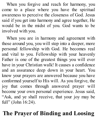When you forgive and reach for harmony, you come to a place where you have the spiritual awareness to perceive the closeness of God. Jesus said if you get into harmony and agree together, He would be in the midst of you. God wants to be involved with you.

When you are in harmony and agreement with those around you, you will step into a deeper, more personal fellowship with God. He becomes real and vital to you. Fellowship with your heavenly Father is one of the greatest things you will ever have in your Christian walk! It causes a confidence and an assurance deep down in your heart. You know your prayers are answered because you have conformed yourself to His will. As you forgive, the joy that comes through answered prayer will become your own personal experience. Jesus said, "Ask, and ye shall receive, that your joy may be full" (John 16:24).

# **The Prayer of Binding and Loosing**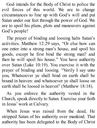God intends for the Body of Christ to police the evil forces of this world. We are to change circumstances to line up with God's will and put Satan under our feet through the power of God. We are to spoil his plans, plots and maneuvers against God's people!

The prayer of binding and loosing halts Satan's activities. Matthew 12:29 says, "Or else how can one enter into a strong man's house, and spoil his goods, except he first bind the strong man? and then he will spoil his house." You have authority over Satan (Luke 10:19). You exercise it with the prayer of binding and loosing. "Verily I say unto you, Whatsoever ye shall bind on earth shall be bound in heaven: and whatsoever ye shall loose on earth shall be loosed in heaven" (Matthew 18:18).

As you enforce the authority vested in the Church, speak directly to Satan. Exercise your faith in Jesus' work at Calvary.

When Jesus was raised from the dead, He stripped Satan of his authority over mankind. That authority has been delegated to the Body of Christ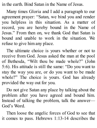in the earth. Bind Satan in the Name of Jesus.

Many times Gloria and I add a paragraph to our agreement prayer: "Satan, we bind you and render you helpless in this situation. As a matter of record, you are hereby bound in the Name of Jesus." From then on, we thank God that Satan is bound and unable to work in the situation. We refuse to give him any place.

The ultimate choice is yours whether or not to receive from God. Jesus asked the man at the pool of Bethesda, "Wilt thou be made whole?" (John 5:6). His attitude is still the same: "Do you want to stay the way you are, or do you want to be made whole?" The choice is yours. God has already provided the way out for you.

Do not give Satan any place by talking about the problem after you have agreed and bound him. Instead of talking the problem, talk the answer— God's Word.

Then loose the angelic forces of God to see that it comes to pass. Hebrews 1:13-14 describes the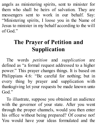angels as ministering spirits, sent to minister for them who shall be heirs of salvation. They are messengers sent to work in our behalf. Say: "Ministering spirits, I loose you in the Name of Jesus to minister in my behalf according to the will of God."

# **The Prayer of Petition and Supplication**

The words *petition* and *supplication* are defined as "a formal request addressed to a higher power." This prayer changes things. It is based on Philippians 4:6: "Be careful for nothing; but in every thing by prayer and supplication with thanksgiving let your requests be made known unto God."

To illustrate, suppose you obtained an audience with the governor of your state. After you went through the proper channels, would you then enter his office without being prepared? Of course not! You would have your ideas formulated and the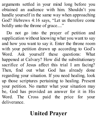arguments settled in your mind long before you obtained an audience with him. Shouldn't you handle yourself in the same way when approaching God? Hebrews 4:16 says, "Let us therefore come boldly unto the throne of grace...."

Do not go into the prayer of petition and supplication without knowing what you want to say and how you want to say it. Enter the throne room with your petition drawn up according to God's Word. Ask yourself these questions: What happened at Calvary? How did the substitutionary sacrifice of Jesus affect this trial I am facing? Then, find out what God has already done regarding your situation. If you need healing, look up those scriptures pertaining to healing. Present your petition. No matter what your situation may be, God has provided an answer for it in His Word. The Cross paid the price for your deliverance.

### **United Prayer**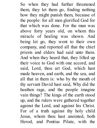So when they had further threatened them, they let them go, finding nothing how they might punish them, because of the people: for all men glorified God for that which was done. For the man was above forty years old, on whom this miracle of healing was shown. And being let go, they went to their own company, and reported all that the chief priests and elders had said unto them. And when they heard that, they lifted up their voice to God with one accord, and said, Lord, thou art God, which hast made heaven, and earth, and the sea, and all that in them is: who by the mouth of thy servant David hast said, Why did the heathen rage, and the people imagine vain things? The kings of the earth stood up, and the rulers were gathered together against the Lord, and against his Christ. For of a truth against thy holy child Jesus, whom thou hast anointed, both Herod, and Pontius Pilate, with the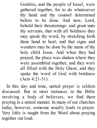Gentiles, and the people of Israel, were gathered together, for to do whatsoever thy hand and thy counsel determined before to be done. And now, Lord, behold their threatenings: and grant unto thy servants, that with all boldness they may speak thy word, by stretching forth thine hand to heal; and that signs and wonders may be done by the name of thy holy child Jesus. And when they had prayed, the place was shaken where they were assembled together; and they were all filled with the Holy Ghost, and they spake the word of God with boldness (Acts 4:21-31).

In this day and time, united prayer is seldom discussed. But in most instances in the Bible involving a body of believers, we find them praying in a united manner. In many of our churches today, however, someone usually leads in prayer. Very little is taught from the Word about praying together out loud.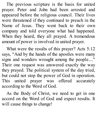The previous scripture is the basis for united prayer. Peter and John had been arrested and appeared before the religious council. Their lives were threatened if they continued to preach in the Name of Jesus. They went back to their own company and told everyone what had happened. When they heard, they all prayed. A tremendous amount of power is involved in united prayer.

What were the results of this prayer? Acts 5:12 says, "And by the hands of the apostles were many signs and wonders wrought among the people...." Their one request was answered exactly the way they prayed. The political system of the day tried, but could not stop the power of God in operation. This united prayer was offered accurately according to the Word of God.

As the Body of Christ, we need to get in one accord on the Word of God and expect results. It will cause things to change!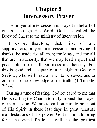## **Chapter 5 Intercessory Prayer**

The prayer of intercession is prayed in behalf of others. Through His Word, God has called the Body of Christ to the ministry of intercession.

"I exhort therefore, that, first of all, supplications, prayers, intercessions, and giving of thanks, be made for all men; for kings, and for all that are in authority; that we may lead a quiet and peaceable life in all godliness and honesty. For this is good and acceptable in the sight of God our Saviour; who will have all men to be saved, and to come unto the knowledge of the truth" (1 Timothy  $2:1-4$ ).

During a time of fasting, God revealed to me that He is calling the Church to rally around the prayer of intercession. We are to call on Him to pour out of His Spirit in these last days in great, unusual manifestations of His power. God is about to bring forth the grand finale. It will be the greatest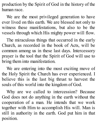production by the Spirit of God in the history of the human race.

We are the most privileged generation to have ever lived on this earth. We are blessed not only to witness these manifestations, but also to be the vessels through which His mighty power will flow.

The miraculous things that occurred in the early Church, as recorded in the book of Acts, will be common among us in these last days. Intercessory prayer is the tool that the Spirit of God will use to bring them into manifestation.

We are entering into the most exciting move of the Holy Spirit the Church has ever experienced. I believe this is the last big thrust to harvest the souls of this world into the kingdom of God.

Why are we called to intercession? Because God does not do anything in the earth without the cooperation of a man. He intends that we work together with Him to accomplish His will. Man is still in authority in the earth. God put him in that position.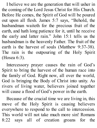I believe we are the generation that will usher in the coming of the Lord Jesus Christ for His Church. Before He comes, the Spirit of God will be poured out upon all flesh. James 5:7 says, "Behold, the husbandman waiteth for the precious fruit of the earth, and hath long patience for it, until he receive the early and latter rain." John 15:1 tells us the husbandman is the heavenly Father. The fruit of the earth is the harvest of souls (Matthew 9:37-38). The rain is the outpouring of the Holy Spirit (Hosea 6:3).

Intercessory prayer causes the rain of God's Spirit to bring the harvest of the human race into the family of God. Right now, all over the world, God is bringing the Body of Christ into unity. As rivers of living water, believers joined together will cause a flood of God's power in the earth.

Because of the crucial time we are living in, this move of the Holy Spirit is causing believers everywhere to respond to the call to intercession. This world will not take much more sin! Romans 8:22 says all of creation groans for the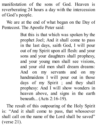manifestation of the sons of God. Heaven is reverberating 24 hours a day with the intercession of God's people.

We are at the end of what began on the Day of Pentecost. The Apostle Peter said:

> But this is that which was spoken by the prophet Joel; And it shall come to pass in the last days, saith God, I will pour out of my Spirit upon all flesh: and your sons and your daughters shall prophesy, and your young men shall see visions, and your old men shall dream dreams: And on my servants and on my handmaidens I will pour out in those days of my Spirit ; and they shall prophesy: And I will show wonders in heaven above, and signs in the earth beneath... (Acts 2:16-19).

The result of this outpouring of the Holy Spirit is: "And it shall come to pass, that whosoever shall call on the name of the Lord shall be saved" (verse 21).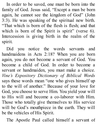In order to be saved, one must be born into the family of God. Jesus said, "Except a man be born again, he cannot see the kingdom of God" (John 3:3). He was speaking of the spiritual new birth. "That which is born of the flesh is flesh; and that which is born of the Spirit is spirit" (verse 6). Intercession is giving birth in the realm of the spirit.

Did you notice the words servants and handmaidens in Acts 2:18? When you are born again, you do not become a servant of God. You become a child of God. In order to become a servant or handmaiden, you must make a choice. *Vine's Expository Dictionary of Biblical Words* says these words mean "one who gives himself up to the will of another." Because of your love for God, you choose to serve Him. You yield your will to His will and become a co-laborer with Him. Those who totally give themselves to His service will be God's mouthpiece in the earth. They will be the vehicles of His Spirit.

The Apostle Paul called himself a servant of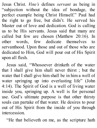Jesus Christ. *Vine's* defines *servant* as being in "subjection without the idea of bondage, the perfect example being Christ Himself." Paul had the right to go free, but didn't. He served his Master out of love and dedication. God is calling us to be His servants. Jesus said that many are called but few are chosen (Matthew 20:16). In other words, few dedicate themselves to servanthood. Upon those and out of those who are dedicated to Him, God will pour out of His Spirit upon all flesh.

Jesus said, "Whosoever drinketh of the water that I shall give him shall never thirst ; but the water that I shall give him shall be in him a well of water springing up into everlasting life" (John 4:14). The Spirit of God is a well of living water inside you, springing up. A well is for personal use. God's ultimate purpose is that other thirsty souls can partake of that water. He desires to pour out of His Spirit from the inside of you through intercession.

"He that believeth on me, as the scripture hath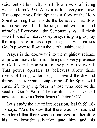said, out of his belly shall flow rivers of living water" (John 7:38). A river is for everyone's use. The outpouring of the Spirit is a flow of the Holy Spirit coming from inside the believer. That flow is the source of all the signs and wonders and miracles! Everyone—the Scripture says, all flesh —will benefit. Intercessory prayer is going to play the major role in this outpouring. It is what causes God's power to flow in the earth, unhindered.

Prayer is the doorway into the mightiest release of power known to man. It brings the very presence of God to and upon man, in any part of the world. That power operates as believers allow those rivers of living water to gush toward the dry and thirsty. The torrential outpouring of the Spirit will cause life to spring forth in those who receive the seed of God's Word. The result is the harvest of new creatures in Christ Jesus (1 Peter 1:23).

Let's study the art of intercession. Isaiah 59:16- 17 says, "And he saw that there was no man, and wondered that there was no intercessor: therefore his arm brought salvation unto him; and his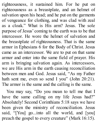righteousness, it sustained him. For he put on righteousness as a breastplate, and an helmet of salvation upon his head; and he put on the garments of vengeance for clothing, and was clad with zeal as a cloak." What is His arm? Jesus. The sole purpose of Jesus' coming to the earth was to be that intercessor. He wore the helmet of salvation and the breastplate of righteousness. That is the same armor in Ephesians 6 for the Body of Christ. Jesus came as an intercessor. We are to put on that same armor and enter into the same field of prayer. His arm is bringing salvation again. As intercessors, we are His arm in the earth causing reconciliation between men and God. Jesus said, "As my Father hath sent me, even so send I you" (John 20:21). The armor is the same and the calling is the same.

You may say, "Do you mean to tell me that I have the same calling on my life Jesus had?" Absolutely! Second Corinthians 5:18 says we have been given the ministry of reconciliation. Jesus said, "[You] go...into all the world, and [you] preach the gospel to every creature" (Mark 16:15).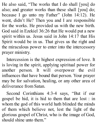He also said, "The works that I do shall [you] do also; and greater works than these shall [you] do; because I go unto my Father" (John 14:12). He went, didn't He? Then you and I are responsible for the works. He provided us with the new birth. God said in Ezekiel 36:26 that He would put a new spirit within us. Jesus said in John 14:17 that His Spirit would be in us. That gives us the right and the miraculous power to enter into the intercessory prayer ministry.

Intercession is the highest expression of love. It is loving in the spirit, applying spiritual power for another person. It will overpower the evil influences that have bound that person. Your prayer may be for salvation, healing, or any other area of deliverance from Satan.

Second Corinthians 4:3-4 says, "But if our gospel be hid, it is hid to them that are lost : in whom the god of this world hath blinded the minds of them which believe not, lest the light of the glorious gospel of Christ, who is the image of God, should shine unto them."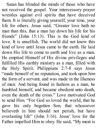Satan has blinded the minds of those who have not received the gospel. Your intercessory prayer wrestles against evil spirits that have deceived them. It is literally giving yourself, your time, your life for others. Jesus said, "Greater love hath no man than this, that a man lay down his life for his friends" (John 15:13). This is the God kind of love. It is unselfish. The world did not know this kind of love until Jesus came to the earth. He laid down His life to come to earth and live as a man. He emptied Himself of His divine privileges and fulfilled His earthly ministry as a man, filled with the Holy Spirit. Philippians 2:7-8 says Jesus "made himself of no reputation, and took upon him the form of a servant, and was made in the likeness of men: And being found in fashion as a man, he humbled himself, and became obedient unto death, even the death of the cross." Love motivated God to send Him. "For God so loved the world, that he gave his only begotten Son, that whosoever believeth in him should not perish, but have everlasting life" (John 3:16). Jesus' love for the Father impelled Him to obey. He said, "My meat is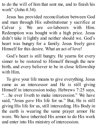to do the will of him that sent me, and to finish his work" (John 4:34).

Jesus has provided reconciliation between God and man through His substitutionar y sacrifice at Calvar y. We are co-laborers with Him. Redemption was bought with a high price. Jesus didn't take it lightly and neither should we. God's heart was hungry for a family. Jesus freely gave Himself for this desire. What an act of love!

God's heart is still hungry. He yearns for every sinner to be restored to Himself through the new birth, and every believer to be in close fellowship with Him.

To give your life means to give everything. Jesus came as an intercessor and He is still giving Himself in intercession today. Hebrews 7:25 says, "…he ever liveth to make intercession." We have said, "Jesus *gave* His life for us." But, He is still giving His life for us, still interceding. His Body in the earth is wearing the same prayer armor He wore. We have inherited His armor to do His work and enter into His ministry of intercession.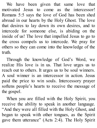We have been given that same love that motivated Jesus to come as the intercessor! Romans 5:5 says the love of God has been shed abroad in our hearts by the Holy Ghost. The love that desires to lay down its own desires, and to intercede for someone else, is abiding on the inside of us! The love that impelled Jesus to go to the cross compels us to intercede. We pray for others so they can come into the knowledge of the truth.

Through the knowledge of God's Word, we realize His love is in us. That love urges us to reach out to others. It urges us to be soul winners. A soul winner is an intercessor in action. Jesus paid the price to win souls. Intercessory prayer softens people's hearts to receive the message of the gospel.

When you are filled with the Holy Spirit, you receive the ability to speak in another language. "And they were all filled with the Holy Ghost, and began to speak with other tongues, as the Spirit gave them utterance" (Acts 2:4). The Holy Spirit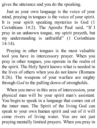gives the utterance and you do the speaking.

Just as your own language is the voice of your mind, praying in tongues is the voice of your spirit. It is your spirit speaking mysteries to God (1 Corinthians 14:2). The Apostle Paul said, "If I pray in an unknown tongue, my spirit prayeth, but my understanding is unfruitful" (1 Corinthians 14:14).

Praying in other tongues is the most valuable tool you have in intercessory prayer. When you pray in other tongues, you operate in the realm of the spirit. The Holy Spirit knows what is needed in the lives of others when you do not know (Romans 8:26). The weapons of your warfare are mighty through *God* to the pulling down of strongholds.

When you move in this area of intercession, your physical man will be your spirit man's assistant. You begin to speak in a language that comes out of the inner man. The Spirit of the living God can speak to your own human spirit and out of it will come rivers of living water. You are not just praying mentally limited prayers. When you pray in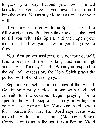tongues, you pray beyond your own limited knowledge. You have moved beyond the natural into the spirit. You must yield to it as an act of your will.

If you are not filled with the Spirit, ask God to fill you right now. Put down this book, ask the Lord to fill you with His Spirit, and then open your mouth and allow your new prayer language to flow.

Your first prayer assignment is not for yourself. It is to pray for all men, for kings and men in high authority (1 Timothy 2:1-4). When you respond to the call of intercession, the Holy Spirit prays the perfect will of God through you.

Separate yourself from the things of this world. Get in your prayer closet alone with God and commit to intercession. Begin praying for a specific body of people: a family, a village, a country, a state or a nation. You do not need to wait for a burden for this. The Word says Jesus was moved with compassion (Matthew 9:36). Compassion is not a feeling, it is a Person. Yield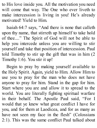to His love inside you. All the motivation you need will come that way. The One who ever liveth to make intercession is living in you! He's already motivated! Yield to Him.

Isaiah 64:7 says, "And there is none that calleth upon thy name, that stirreth up himself to take hold of thee...." The Spirit of God will not be able to help you intercede unless you are willing to stir yourself and take that position of intercession. Paul told Timothy to stir up the gift that was in him (2 Timothy 1:6). You stir it up!

Begin to pray by making yourself available to the Holy Spirit. Again, yield to Him. Allow Him to use you to pray for the man who does not have anyone to pray for him. Stand in the gap for him. Start where you are and allow it to spread to the world. You are literally fighting spiritual warfare in their behalf. The Apostle Paul said, "For I would that ye knew what great conflict I have for you, and for them at Laodicea, and for as many as have not seen my face in the flesh" (Colossians 2:1). This was the same conflict Paul talked about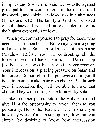in Ephesians 6 when he said we wrestle against principalities, powers, rulers of the darkness of this world, and spiritual wickedness in high places (Ephesians 6:12). The family of God is not based on selfishness. It is based on love. Intercession is the highest expression of love.

When you commit yourself to pray for those who need Jesus, remember the Bible says you are going to have to bind Satan in order to spoil his house (Matthew 12:29). You are confronting all the forces of evil that have them bound. Do not stop just because it looks like they will never receive. Your intercession is placing pressure on Satan and his forces. Do not relent, but persevere in prayer. It is up to them to make their own choice. But through your intercession, they will be able to make that choice. They will no longer be blinded by Satan.

Take these scriptures before the Holy Spirit and give Him the opportunity to reveal them to you personally. He is the Teacher. He can show you how they work. You can stir up the gift within you simply by desiring to know how intercession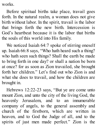works.

Before spiritual births take place, travail goes forth. In the natural realm, a woman does not give birth without labor. In the spirit, travail is the labor that brings forth the new birth. Intercession is God's heartbeat because it is the labor that births the souls of this world into His family.

We noticed Isaiah 64:7 spoke of stirring oneself up. Isaiah 66:8 says, "Who hath heard such a thing? who hath seen such things? Shall the earth be made to bring forth in one day? or shall a nation be born at once? for as soon as Zion travailed, she brought forth her children." Let's find out who Zion is and what she does to travail, and how the children are brought in.

Hebrews 12:22-23 says, "But ye are come unto mount Zion, and unto the city of the living God, the heavenly Jerusalem, and to an innumerable company of angels, to the general assembly and church of the firstborn, which are written in heaven, and to God the Judge of all, and to the spirits of just men made perfect." Zion is the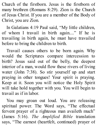Church of the firstborn. Jesus is the firstborn of many brethren (Romans 8:29). Zion is the Church of Jesus Christ. If you are a member of the Body of Christ, you are Zion.

In Galatians 4:19 Paul said, "My little children, of whom I travail in birth again...." If he is travailing in birth again, he must have travailed before to bring the children to birth.

Travail causes others to be born again. Why would the Scriptures compare intercession to birth? Jesus said out of the belly, the deepest interior of a man, would flow these rivers of living water (John 7:38). So stir yourself up and start praying in other tongues! Your spirit is praying. Keep at it. Soon you will notice the Holy Spirit will take hold together with you. You will begin to travail as if in labor.

You may groan out loud. You are releasing spiritual power. The Word says, "The effectual fervent prayer of a righteous man availeth much" (James 5:16). *The Amplified Bible* translation says, "The earnest (heartfelt, continued) prayer of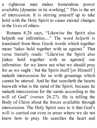a righteous man makes tremendous power available [dynamic in its working]." This is the art of intercession. It is stirring yourself up to take hold with the Holy Spirit to cause eternal changes in the lives of others.

Romans 8:26 says, "Likewise the Spirit also helpeth our infirmities...." The word *helpeth* is translated from three Greek words which together mean "takes hold together with us against." That verse literally reads: "Likewise the Spirit also [takes hold together with us against] our infirmities: for we know not what we should pray for as we ought : but the Spirit itself [or Himself ] maketh intercession for us with groanings which cannot be uttered. And he that searcheth the hearts knoweth what is the mind of the Spirit, because he maketh intercession for the saints according to the will of God" (verses 26-27). He is telling the Body of Christ about the forces available through intercession. The Holy Spirit sees to it that God's will is carried out even in areas where we do not know how to pray. He searches the heart and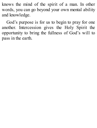knows the mind of the spirit of a man. In other words, you can go beyond your own mental ability and knowledge.

God's purpose is for us to begin to pray for one another. Intercession gives the Holy Spirit the opportunity to bring the fullness of God's will to pass in the earth.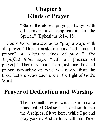## **Chapter 6 Kinds of Prayer**

"Stand therefore....praying always with all prayer and supplication in the Spirit..." (Ephesians 6:14, 18).

God's Word instructs us to "pray always with all prayer." Other translations say, "all kinds of prayer" or "different kinds of prayer." *The Amplified Bible* says, "with all [manner of prayer]." There is more than just one kind of prayer, depending on what you desire from the Lord. Let's discuss each one in the light of God's Word.

### **Prayer of Dedication and Worship**

Then cometh Jesus with them unto a place called Gethsemane, and saith unto the disciples, Sit ye here, while I go and pray yonder. And he took with him Peter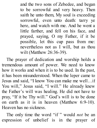and the two sons of Zebedee, and began to be sorrowful and very heavy. Then saith he unto them, My soul is exceeding sorrowful, even unto death: tarry ye here, and watch with me. And he went a little farther, and fell on his face, and prayed, saying, O my Father, if it be possible, let this cup pass from me: nevertheless not as I will, but as thou wilt (Matthew 26:36-39).

The prayer of dedication and worship holds a tremendous amount of power. We need to know how it works and when it is to be used. In the past, it has been misunderstood. When the leper came to Jesus and said, "I know You can make me well…if You will," Jesus said, "I will." He already knew the Father's will was healing. He did not have to pray, "If it be Thy will." God's will is to be done on earth as it is in heaven (Matthew 6:9-10). Heaven has no sickness.

The only time the word "if " would *not* be an expression of unbelief is in the prayer of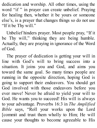dedication and worship. All other times, using the word "if" in prayer can create unbelief. Praying for healing then, whether it be yours or someone else's, is a prayer that changes things so do not use "If it be Thy will."

Unbelief hinders prayer. Most people pray, "If it be Thy will," thinking they are being humble. Actually, they are praying in ignorance of the Word of God.

The prayer of dedication is getting your will in line with God's will to bring success into a situation. It joins you and God, and aims you toward the same goal. So many times people are running in the opposite direction, hoping God is going to support their endeavors. You should get God involved with those endeavors before you ever move! Never be afraid to yield your will to God. He wants you to succeed! His will is always to your advantage. Proverbs 16:3 in *The Amplified Bible* says, "Roll your works upon the Lord [commit and trust them wholly to Him; He will cause your thoughts to become agreeable to His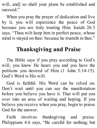will, and] so shall your plans be established and succeed."

When you pray the prayer of dedication and live by it, you will experience the peace of God because you are truly trusting Him. Isaiah 26:3 says, "Thou wilt keep him in perfect peace, whose mind is stayed on thee: because he trusteth in thee."

# **Thanksgiving and Praise**

The Bible says if you pray according to God's will, you know He hears you and you have the petitions you desired of Him (1 John 5:14-15). God's Word is His will.

God is faithful. His Word can be relied on. Don't wait until you can see the manifestation before you believe you have it. That will put you over into an area of waiting and hoping. If you believe you receive when you pray, begin to praise God for the answer.

Faith involves thanksgiving and praise. Philippians 4:6 says, "Be careful for nothing; but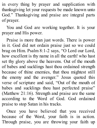in every thing by prayer and supplication with thanksgiving let your requests be made known unto God." Thanksgiving and praise are integral parts of prayer.

You and God are working together. It is your prayer and His power.

Praise is more than just words. There is power in it. God did not ordain praise just so we could brag on Him. Psalm 8:1-2 says, "O Lord our Lord, how excellent is thy name in all the earth! who hast set thy glory above the heavens. Out of the mouth of babes and sucklings hast thou ordained strength because of thine enemies, that thou mightest still the enemy and the avenger." Jesus quoted this verse of scripture and said, "Out of the mouth of babes and sucklings thou hast perfected praise" (Matthew 21:16). Strength and praise are the same according to the Word of God. God ordained praise to stop Satan in his tracks.

Once you have believed that you received because of the Word, your faith is in action. Through praise, you are throwing your faith up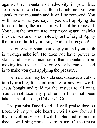against that mountain of adversity in your life. Jesus said if you have faith and doubt not, you can speak to the mountain and it will be removed. You will have what you say. If you quit applying the force of faith, the mountain will not be removed. You want the mountain to keep moving until it sinks into the sea and is completely out of sight! Apply the force of faith by praising God that it is gone!

The only way Satan can stop you and your faith is through unbelief. He does not have power to stop God. He cannot stop that mountain from moving into the sea. The only way he can succeed is to make you quit applying the pressure.

The mountain may be sickness, disease, alcohol, family trouble, financial trouble or any evil work. Jesus bought and paid for the answer to all of it. You cannot face any problem that has not been taken care of through Calvary's Cross.

The psalmist David said, "I will praise thee, O Lord, with my whole heart ; I will show forth all thy marvellous works. I will be glad and rejoice in thee: I will sing praise to thy name, O thou most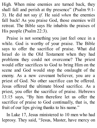High. When mine enemies are turned back, they shall fall and perish at thy presence" (Psalm 9:1-3). He did not say *if.* He said *when* the enemies fall back! As you praise God, those enemies will retreat. The Bible says He inhabits the praises of His people (Psalm 22:3).

Praise is not something you just feel once in a while. God is worthy of your praise. The Bible says to offer the sacrifice of praise. What did Israel do in the Old Testament when they had problems they could not overcome? The priest would offer sacrifices to God to bring Him on the scene and God would stop the onslaught of the enemy. As a new covenant believer, you are a priest of God. No other sacrifice can be offered. Jesus offered the ultimate blood sacrifice. As a priest, you offer the sacrifice of praise. Hebrews 13:15 says, "By him therefore let us offer the sacrifice of praise to God continually, that is, the fruit of our lips giving thanks to his name."

In Luke 17, Jesus ministered to 10 men who had leprosy. They said, "Jesus, Master, have mercy on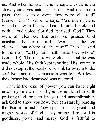us. And when he saw them, he said unto them, Go show yourselves unto the priests. And it came to pass, that, as they went, they were cleansed" (verses 13-14). Verse 15 says, "And one of them, when he saw that he was healed, turned back, and with a loud voice glorified [praised] God." They were all cleansed. But only one praised God unashamedly. Jesus said, "Were not the ten cleansed? but where are the nine?" Then He said to the man, "...Thy faith hath made thee whole" (verse 19). The others were cleansed but he was made whole! His faith kept working. His mountain did not stop at the seashore or sink halfway into the sea! No trace of his mountain was left. Whatever the disease had destroyed was restored.

That is the kind of power you can have right now in your own life. If you are not familiar with praising God, or it makes you feel uncomfortable, ask God to show you how. You can start by reading the Psalms aloud. They speak of the great and mighty works of God. They praise Him for His goodness, power and mercy. God is faithful to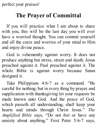perfect your praises!

#### **The Prayer of Committal**

If you will practice what I am about to share with you, this will be the last day you will ever have a worried thought. You can commit yourself and all the cares and worries of your mind to Him and enjoy divine peace.

God is vehemently against worry. It does not produce anything but stress, strain and death. Jesus preached against it. Paul preached against it. The whole Bible is against worry because Satan designed it.

Take Philippians 4:6-7 as a command. "Be careful for nothing; but in every thing by prayer and supplication with thanksgiving let your requests be made known unto God. And the peace of God, which passeth all understanding, shall keep your hearts and minds through Christ Jesus." *The Amplified Bible* says, "Do not fret or have any anxiety about anything." First Peter 5:6-7 says,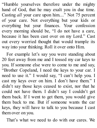"Humble yourselves therefore under the mighty hand of God, that he may exalt you in due time. Casting *all* your care upon him...." Not 75 percent of your care. Not everything but your kids or everything but your finances. Your confession every morning should be, "I do not have a care, because it has been cast over on my Lord." Cast out every worried thought that would trample its way into your thinking. Roll it over onto Him.

For example let's say you were standing about 20 feet away from me and I tossed my car keys to you. If someone else were to come to me and say, "Brother Copeland, I need the keys to your car. I need to use it." I would say, "I can't help you. I cast my keys over on him. I don't have them." I didn't say those keys ceased to exist, nor that he could not have them. I didn't say I couldn't get them back. If I went to get them, you would give them back to me. But if someone wants the car keys, they will have to talk to you because I cast them over on you.

That's what we need to do with our cares. We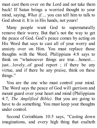must cast them over on the Lord and not take them back! If Satan brings a worried thought to your mind, saying, *What if...,* you can tell him to talk to God about it. It is in His hands, not yours!

Many people want God to supernaturally remove their worry. But that's not the way to get the peace of God. God's peace comes by acting on His Word that says to cast all of your worry and anxiety over on Him. You must replace those thoughts with the Word. Philippians 4:8 says to think on "whatsoever things are true…honest… just…lovely...of good report ; if there be any virtue, and if there be any praise, think on these things."

You are the one who must control your mind. The Word says the peace of God will garrison and mount guard over your heart and mind (Philippians 4:7, *The Amplified Bible).* But you are going to have to do something. You must keep your thoughts under control.

Second Corinthians 10:5 says, "Casting down imaginations, and every high thing that exalteth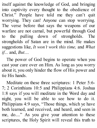itself against the knowledge of God, and bringing into captivity every thought to the obedience of Christ." People have told me they can't quit worrying. They can! Anyone can stop worrying. The verse before that says the weapons of our warfare are not carnal, but powerful through God to the pulling down of strongholds. The strongholds of Satan are in the mind. He makes suggestions like, *It won't work this time,* and *What if...* and, *But....*

The power of God begins to operate when you cast your care over on Him. As long as you worry about it, you only hinder the flow of His power and tie His hands.

Meditate on these three scriptures: 1 Peter 5:6- 7; 2 Corinthians 10:5 and Philippians 4:6. Joshua 1:8 says if you will meditate in the Word day and night, you will be able to see how to do it. Philippians 4:9 says, "Those things, which ye have both learned, and received, and heard, and seen in me, do...." As you give your attention to these scriptures, the Holy Spirit will reveal this truth to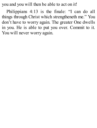you and you will then be able to act on it!

Philippians 4:13 is the finale: "I can do all things through Christ which strengtheneth me." You don't have to worry again. The greater One dwells in you. He is able to put you over. Commit to it. You will never worry again.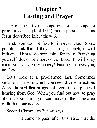## **Chapter 7 Fasting and Prayer**

There are two categories of fasting: a proclaimed fast (Joel 1:14), and a personal fast as Jesus described in Matthew 6.

First, you do not fast to impress God. Some people think that if they fast long enough, it will influence Him to do something for them. Punishing yourself does not impress the Lord. It will only make you very, very hungry! Fasting changes you, not God.

Let's look at a proclaimed fast. Sometimes situations arise in which you need divine direction. A proclaimed fast brings believers into a place of hearing from God. When you find out how to pray about the situation, you can move in the same area of faith in one accord.

Second Chronicles 20:1-6 says:

It came to pass after this also, that the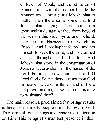children of Moab, and the children of Ammon, and with them other beside the Ammonites, came against Jehoshaphat to battle. Then there came some that told Jehoshaphat, saying, There cometh a great multitude against thee from beyond the sea on this side Syria; and, behold, they be in Hazazontamar, which is Engedi. And Jehoshaphat feared, and set himself to seek the Lord, and proclaimed a fast throughout all Judah.... And Jehoshaphat stood in the congregation of Judah and Jerusalem, in the house of the Lord, before the new court, and said, O Lord God of our fathers, art not thou God in heaven.... And in thine hand is there not power and might, so that none is able to withstand thee?

The main reason a proclaimed fast brings results is because it directs people's minds toward God. They drop all other things and center their attention on Him. This brings His manifest presence in their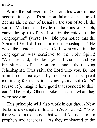midst.

While the believers in 2 Chronicles were in one accord, it says, "Then upon Jahaziel the son of Zechariah, the son of Benaiah, the son of Jeiel, the son of Mattaniah, a Levite of the sons of Asaph, came the spirit of the Lord in the midst of the congregation" (verse 14). Did you notice that the Spirit of God did not come on Jehoshaphat? He was the leader. Thank God someone in the congregation was sensitive to the Holy Spirit! "And he said, Hearken ye, all Judah, and ye inhabitants of Jerusalem, and thou king Jehoshaphat, Thus saith the Lord unto you, Be not afraid nor dismayed by reason of this great multitude; for the battle is not yours, but God's" (verse 15). Imagine how good that sounded to their ears! The Holy Ghost spoke. That is what they were seeking.

This principle will also work in our day. A New Testament example is found in Acts 13:1-2: "Now there were in the church that was at Antioch certain prophets and teachers.... As they ministered to the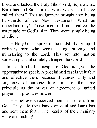Lord, and fasted, the Holy Ghost said, Separate me Barnabas and Saul for the work whereunto I have called them." That assignment brought into being two-thirds of the New Testament. What an important day! Those men did not realize the magnitude of God's plan. They were simply being obedient.

The Holy Ghost spoke in the midst of a group of ordinary men who were fasting, praying and ministering to the Lord. This set into motion something that absolutely changed the world!

In that kind of atmosphere, God is given the opportunity to speak. A proclaimed fast is valuable and effective then, because it causes unity and singleness of purpose. It operates on the same principle as the prayer of agreement or united prayer—it produces power.

These believers received their instructions from God. They laid their hands on Saul and Barnabas and sent them forth. The results of their ministry were astounding!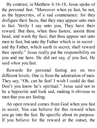By contrast, in Matthew 6:16-18, Jesus spoke of the personal fast. "Moreover when ye fast, be not, as the hypocrites, of a sad countenance: for they disfigure their faces, that they may appear unto men to fast. Verily I say unto you, They have their reward. But thou, when thou fastest, anoint thine head, and wash thy face; that thou appear not unto men to fast, but unto thy Father which is in secret : and thy Father, which seeth in secret, shall reward thee openly." Jesus really put the responsibility on you and me here. He did not say, *if* you fast, He said *when* you fast.

Rewards for personal fasting are on two different levels. One is from the admiration of men. They say, "Oh, can he fast! I wish I could do that. Don't you know he's spiritual." Jesus said not to be a hypocrite and look sad, making it obvious to men that you are fasting.

An open reward comes from God when you fast in secret. You can believe for this reward when you go into the fast. Be specific about its purpose. If you believe for the reward at the outset, the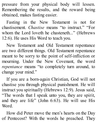pressure from your physical body will lessen. Remembering the results, and the reward being obtained, makes fasting easier.

Fasting in the New Testament is not for chastisement. *Chastise* means "to instruct." "For whom the Lord loveth he chasteneth..." (Hebrews 12:6). He uses His Word to teach you.

New Testament and Old Testament repentance are two different things. Old Testament repentance meant to be sorry to the point of self-infliction or mourning. Under the New Covenant, the word *repentance* means "to completely turn around, to change your mind."

If you are a born-again Christian, God will not chastise you through physical punishment. He will instruct you spiritually (Hebrews 12:9). Jesus said, "The words that I speak unto you, they are spirit, and they are life" (John 6:63). He will use His Word.

How did Peter move the men's hearts on the Day of Pentecost? With the words he preached. They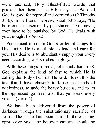were anointed, Holy Ghost-filled words that pricked their hearts. The Bible says the Word of God is good for reproof and correction (2 Timothy 3:16). In the literal Hebrew, Isaiah 53:5 says, "He bore our chastisement by punishment." You never, ever have to be punished by God. He deals with you through His Word!

Punishment is not in God's order of things for His family. He is available to lead and care for you. His desire is to abundantly supply your every need according to His riches in glory.

With these things in mind, let's study Isaiah 58. God explains the kind of fast to which He is calling the Body of Christ. He said, "Is not this the fast that I have chosen? to loose the bands of wickedness, to undo the heavy burdens, and to let the oppressed go free, and that ye break every yoke?" (verse 6).

We have been delivered from the power of darkness through the substitutionary sacrifice of Jesus. The price has been paid. If there is any oppressive yoke, the believer can and should be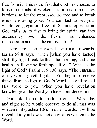free from it. This is the fast that God has chosen: to loose the bands of wickedness, to undo the heavy burdens, to let the oppressed go free and to break *every* enslaving yoke. You can fast to set your whole congregation free of Satan's oppression. God calls us to fast to bring the spirit man into ascendancy over the flesh. This enhances intercession and sets the captives free!

There are also personal, spiritual rewards. Isaiah 58:8 says, "Then [when you have fasted] shall thy light break forth as the morning, and thine health shall spring forth speedily...." What is the light of God? Psalm 119:130 says, "The entrance of thy words giveth light...." You begin to receive things from the light of God's Word. He will reveal His Word to you. When you have revelation knowledge of the Word you have confidence in it.

God told Joshua to meditate on the Word day and night so he would observe to do all that was written in it (Joshua 1:8). In other words, it will be revealed to you how to act on what is written in the Word.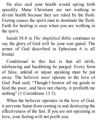He also said your health would spring forth speedily. Many Christians are not walking in divine health because they are ruled by the flesh. Fasting causes the spirit man to dominate the flesh. Faith for healing is easy when you are walking in the spirit.

Isaiah 58:8 in *The Amplified Bible* continues to say the glory of God will be your rear guard. The armor of God described in Ephesians 6 is all frontal.

Conditional to this fast is that all strife, talebearing and backbiting be purged. Every form of false, unkind or unjust speaking must be put away. The believer *must* operate in the love of God. Paul said, "Though I bestow all my goods to feed the poor...and have not charity, it profiteth me nothing" (1 Corinthians 13:3).

When the believer operates in the love of God, it prevents Satan from coming in and destroying the effectiveness of the fast. If you are not operating in love, your fasting will not profit you.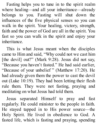Fasting helps you to tune in to the spirit realm where healing—and all your inheritance—already belongs to you. Fasting will shut down the influences of the five physical senses so you can walk in the spirit. Your healing, victory, strength, faith and the power of God are all in the spirit. You fast so you can walk in the spirit and enjoy your inheritance.

This is what Jesus meant when the disciples came to Him and said, "Why could not we cast him [the devil] out?" (Mark 9:28). Jesus did not say, "Because you haven't fasted." He had said earlier, "Because of your unbelief " (Matthew 17:20). He had already given them the power to cast the devil out (Luke 10:19). They had been letting their flesh rule them. They were not fasting, praying and meditating on what Jesus had told them.

Jesus separated Himself to pray and fast regularly. He could minister to the people in faith. He stayed tapped in to His power source—the Holy Spirit. He lived in obedience to God. A fasted life, which is fasting and praying, spending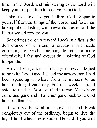time in the Word, and ministering to the Lord will keep you in a position to receive from God.

Take the time to get before God. Separate yourself from the things of the world, and fast. I am talking about fasting with rewards. Jesus said the Father would reward you.

Sometimes the only reward I seek in a fast is the deliverance of a friend, a situation that needs correcting, or God's anointing to minister more effectively. I fast and expect the anointing of God to operate.

A man living a fasted life lays things aside just to be with God. Once I fasted my newspaper. I had been spending anywhere from 15 minutes to an hour reading it each day. For one week I laid it aside to read the Word of God instead. Years have come and gone and I have not gone back to it. God honored that fast.

If you really want to enjoy life and break completely out of the ordinary, begin to live the high life of which Jesus spoke. He said if you will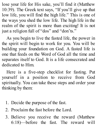lose your life for His sake, you'll find it (Matthew 10:39). The Greek text says, "If you'll give up that low life, you will find the high life." This is one of the ways you shed the low life. The high life in the realm of the spirit is more than exciting! It is not just a religion full of "dos" and "don'ts."

As you begin to live the fasted life, the power in the spirit will begin to work for you. You will be building your foundation on God. A fasted life is one that feeds on the Word of God all the time and separates itself to God. It is a life consecrated and dedicated to Him.

Here is a five-step checklist for fasting. Put yourself in a position to receive from God spiritually. You can take these steps and order your thinking by them:

- 1. Decide the purpose of the fast.
- 2. Proclaim the fast before the Lord.
- 3. Believe you receive the reward (Matthew 6:18)—before the fast. The reward will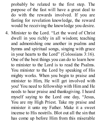probably be related to the first step. The purpose of the fast will have a great deal to do with the rewards involved. If you are fasting for revelation knowledge, the reward would be receiving the knowledge you desire.

4. Minister to the Lord. "Let the word of Christ dwell in you richly in all wisdom; teaching and admonishing one another in psalms and hymns and spiritual songs, singing with grace in your hearts to the Lord" (Colossians 3:16). One of the best things you can do to learn how to minister to the Lord is to read the Psalms. You minister to the Lord by speaking of His mighty works. When you begin to praise and minister to Him, He will get involved with you! You need to fellowship with Him and He needs to hear praise and thanksgiving. I heard myself saying to the Lord one day, "Jesus, You are my High Priest. Take my praise and minister it unto my Father. Make it a sweet incense to His nostrils. Blot out all the sin that has come up before Him from this miserable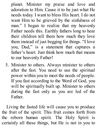planet. Minister my praise and love and adoration to Him. Cause it to be just what He needs today. I want to bless His heart. I do not want Him to be grieved by the sinfulness of man." I began to realize that my heavenly Father needs this. Earthly fathers long to hear their children tell them how much they love them instead of just begging for things. "I love you, Dad," is a statement that captures a father's heart. Just think how much that means to our heavenly Father!

5. Minister to others. Always minister to others after the fast. You need to use the spiritual power within you to meet the needs of people. If you fast according to the Word of God, you will be spiritually built up. Minister to others during the fast only as you are led of the Father.

Living the fasted life will cause you to produce the fruit of the spirit. This fruit comes forth from the reborn human spirit. The Holy Spirit is certainly all these things, but He is not in you to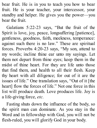bear fruit. He is in you to teach you how to bear fruit. He is your teacher, your intercessor, your standby and helper. He gives you the power—you bear the fruit.

Galatians 5:22-23 says, "But the fruit of the Spirit is love, joy, peace, longsuffering [patience], gentleness, goodness, faith, meekness, temperance: against such there is no law." These are spiritual forces. Proverbs 4:20-23 says, "My son, attend to my words; incline thine ear unto my sayings. Let them not depart from thine eyes; keep them in the midst of thine heart. For they are life unto those that find them, and health to all their flesh. Keep thy heart with all diligence; for out of it are the issues of life." One translation says, "Out of it [the heart] flow the forces of life." Not one force in this list will produce death. Love produces life. Joy is a life-giving force, *etc.*

Fasting shuts down the influence of the body, so the spirit man can dominate. As you stay in the Word and in fellowship with God, you will not be flesh-ruled, you will glorify God in your body.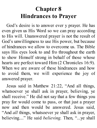### **Chapter 8 Hindrances to Prayer**

God's desire is to answer ever y prayer. He has even given us His Word so we can pray according to His will. Unanswered prayer is not the result of God's unwillingness to use His power, but because of hindrances we allow to overcome us. The Bible says His eyes look to and fro throughout the earth to show Himself strong in behalf of those whose hearts are perfect toward Him (2 Chronicles 16:9). When we are aware of these hindrances and how to avoid them, we will experience the joy of answered prayer.

Jesus said in Matthew 21:22, "And all things, whatsoever ye shall ask in prayer, believing, ye shall receive." He did not say that a few things you pray for would come to pass, or that just a prayer now and then would be answered. Jesus said, "And *all* things, whatsoever ye shall ask in prayer, believing...." He said *believing.* Then, "...ye shall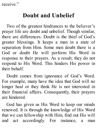receive."

#### **Doubt and Unbelief**

Two of the greatest hindrances to the believer's prayer life are doubt and unbelief. Though similar, there are differences. Doubt is the thief of God's greater blessings. It keeps a man in a state of separation from Him. Some men doubt there is a God or doubt He will perform His Word in response to their prayers. As a result, they do not respond to His Word. This hinders His power in their behalf.

Doubt comes from ignorance of God's Word. For example, many have the idea that God will no longer heal or they think He is not interested in their financial affairs. Consequently, their prayers are hindered.

God has given us His Word to keep our minds renewed. It is through the knowledge of His Word that we can fellowship with Him, find out His will and act accordingly. For instance, a man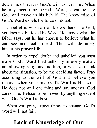determines that it is God's will to heal him. When he prays according to God's Word, he can be sure God will move in his behalf. The knowledge of God's Word expels the force of doubt.

Unbelief is when a man knows there is a God, yet does not believe His Word. He knows what the Bible says, but he has chosen to believe what he can see and feel instead. This will definitely hinder his prayer life.

In order to expel doubt and unbelief, you must make God's Word final authority in every matter, not allowing religious tradition, or what you think about the situation, to be the deciding factor. Pray according to the will of God and believe you receive when you pray. God's Word is His will. He does not will one thing and say another. God cannot lie. Refuse to be moved by anything except what God's Word tells you.

When you pray, expect things to change. God's Word will not fail.

# **Lack of Knowledge of Our**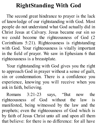# **RightStanding With God**

The second great hindrance to prayer is the lack of knowledge of our rightstanding with God. Most people do not understand what God actually did in Christ Jesus at Calvary. Jesus became our sin so we could become the righteousness of God (2 Corinthians 5:21). Righteousness is rightstanding with God. Your righteousness is vitally important in the field of prayer. We saw in Ephesians 6 that righteousness is a breastplate.

Your rightstanding with God gives you the right to approach God in prayer without a sense of guilt, sin or condemnation. There is a confidence you experience, knowing you will receive when you ask in faith, believing.

Romans 3:21-23 says, "But now the righteousness of God without the law is manifested, being witnessed by the law and the prophets; even the righteousness of God which is by faith of Jesus Christ unto all and upon all them that believe: for there is no difference: for all have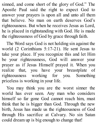sinned, and come short of the glory of God." The Apostle Paul said the right to expect God to answer your prayers is upon all and unto all them that believe. No man on earth deserves God's righteousness. But when he receives Jesus as Lord, he is placed in rightstanding with God. He is made the righteousness of God by grace through faith.

The Word says God is not holding sin against the world (2 Corinthians 5:17-21). He sent Jesus to take your place. If you recognize this and let Him be your righteousness, God will answer your prayer as if Jesus Himself prayed it. When you realize that, you have your breastplate of righteousness working for you. Something priceless is working in your life.

You may think you are the worst sinner the world has ever seen. Any man who considers himself so far gone God cannot reach him, must think that he is bigger than God. Through the new birth, Jesus has made us the righteousness of God through His sacrifice at Calvary. No sin Satan could dream up is big enough to change that!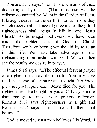Romans 5:17 says, "For if by one man's offence death reigned by one...." (That, of course, was the offense committed by Adam in the Garden of Eden. It brought death into the earth.) "...much more they which receive abundance of grace and of the gift of righteousness shall reign in life by one, Jesus Christ." As born-again believers, we have been made the righteousness of God in Christ. Therefore, we have been given the ability to reign in this life. We must take advantage of our rightstanding relationship with God. We will then see the results we desire in prayer.

James 5:16 says, "...The effectual fervent prayer of a righteous man availeth much." You may have read that verse of scripture and thought, *You know, if I were just righteous....* Jesus died for you! The righteousness He bought for you at Calvary is more than enough to make your prayers effective. Romans 5:17 says righteousness is a gift and Romans 3:22 says it is "unto all…them that believe."

God is moved when a man believes His Word. If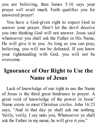you are believing, then James 5:16 says your prayer *will* avail much. Faith qualifies you for answered prayer!

You have a God-given right to expect God to answer your prayer. Don't let the devil deceive you into thinking God will not answer. Jesus said whatsoever you shall ask the Father in His Name, He will give it to you. As long as you can pray, believing, you will not be defeated. If you know your rightstanding with God, you will not be overcome.

## **Ignorance of Our Right to Use the Name of Jesus**

Lack of knowledge of our right to use the Name of Jesus is the third great hindrance to prayer. A great void of knowledge of the power in Jesus' Name exists in most Christian circles. John 16:23 says, "And in that day ye shall ask me nothing. Verily, verily, I say unto you, Whatsoever ye shall ask the Father in my name, he will give it you."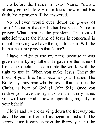Go before the Father in Jesus' Name. You are already going before Him in Jesus' power and His faith. Your prayer will be answered.

No believer would ever doubt the *power* of Jesus' Name or that the Father hears that Name in prayer. What, then, is the problem? The root of unbelief where the Name of Jesus is concerned is in not believing we have the right to use it. Will the Father hear me pray in that Name?

I have a right to use my name because it was given to me by my father. He gave me the name of Kenneth Copeland. I came into the world with the right to use it. When you make Jesus Christ the Lord of your life, God becomes your Father. The Bible says any man who believes that Jesus is the Christ, is born of God (1 John 5:1). Once you realize you have the right to use the family name, you will see God's power operating mightily in your behalf.

Gloria and I were driving down the freeway one day. The car in front of us began to fishtail. The second time it came across the freeway, it hit the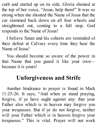curb and started up on its side. Gloria shouted at the top of her voice, "Jesus, help them!" It was so strong when she shouted the Name of Jesus that the car slammed back down on all four wheels and straightened out, coming to a full stop. God responds to the Name of Jesus!

I believe Satan and his cohorts are reminded of their defeat at Calvary every time they hear the Name of Jesus!

You should become so aware of the power in that Name that you guard it like your own because it is yours!

### **Unforgiveness and Strife**

Another hindrance to prayer is found in Mark 11:25-26. It says, "And when ye stand praying, forgive, if ye have aught against any: that your Father also which is in heaven may forgive you your trespasses. But if ye do not forgive, neither will your Father which is in heaven forgive your trespasses." This is vital. Prayer will not work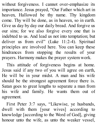without forgiveness. I cannot over-emphasize its importance. Jesus prayed, "Our Father which art in heaven, Hallowed be thy name. Thy kingdom come. Thy will be done, as in heaven, so in earth. Give us day by day our daily bread. And forgive us our sins; for we also forgive every one that is indebted to us. And lead us not into temptation; but deliver us from evil" (Luke 11:2-4). Spiritual principles are involved here. You can keep these hindrances from stopping the results of your prayers. Harmony makes the prayer system work.

This attitude of forgiveness begins at home. Jesus said if any two of you will agree on earth, He will be in your midst. A man and his wife should be the strongest agreement force there is. Satan goes to great lengths to separate a man from his wife and family. He wants them out of agreement.

First Peter 3:7 says, "Likewise, ye husbands, dwell with them [your wives] according to knowledge [according to the Word of God], giving honour unto the wife, as unto the weaker vessel,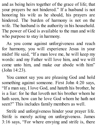and as being heirs together of the grace of life; that your prayers be not hindered." If a husband is not honoring his wife as he should, his prayers are hindered. The burden of harmony is not on the wife. The husband is the authority in his household. The power of God is available to the man and wife who purpose to stay in harmony.

As you come against unforgiveness and reach for harmony, you will experience Jesus in your midst! He said, "If a man love me, he will keep my words: and my Father will love him, and we will come unto him, and make our abode with him" (John 14:23).

You cannot say you are pleasing God and hold something against someone. First John 4:20 says, "If a man say, I love God, and hateth his brother, he is a liar: for he that loveth not his brother whom he hath seen, how can he love God whom he hath not seen?" This includes family members as well.

Strife and unforgiveness hinder your prayer life. Strife is merely acting on unforgiveness. James 3:16 says, "For where envying and strife is, there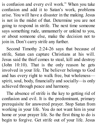is confusion and every evil work." When you take confusion and add it to Satan's work, problems arise. You will have a disaster in the making. Jesus is not in the midst of that. Determine you are not going to respond in strife. The next time someone says something rude, unmannerly or unkind to you, or about someone else, make the decision not to join in. Don't carry strife any further.

Second Timothy 2:24-26 says that because of strife, Satan can capture Christians at his will. Jesus said the thief comes to steal, kill and destroy (John 10:10). That is the only reason he gets involved in your life. The believer belongs to God and has every right to walk free, but wholeness spirit, soul, body, financially and socially—is only achieved through peace and harmony.

The absence of strife is the key to getting rid of confusion and evil. It is the predominant, primary prerequisite for answered prayer. Stop Satan from working in your life. You do not want him in your home or your prayer life. So the first thing to do is begin to forgive. Get strife out of your life. Jesus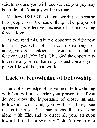said to ask and you will receive, that your joy may be made full. Your joy will be strong.

Matthew 18:19-20 will not work just because two people say the same thing. The prayer of agreement is effective because of its motivating force—love!

As you read this, take the opportunity right now to rid yourself of strife, disharmony or unforgiveness. Confess it. Jesus is faithful to forgive you (1 John 1:9). Give God the opportunity to create a system of harmony around you and your prayer life will begin to work.

### **Lack of Knowledge of Fellowship**

Lack of knowledge of the value of fellowshiping with God will also hinder your prayer life. If you do not know the importance of close, intimate fellowship with God, you will not likely see results in prayer. Set apart a specific time to be alone with Him and to direct all your attention toward Him. It is easy to say, "I don't have time to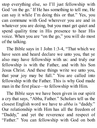stop everything else, so I'll just fellowship with God 'on the go.' If He has something to tell me, He can say it while I'm doing this or that." Yes, you can commune with God wherever you are and in whatever you are doing, but you must get quiet and spend quality time in His presence to hear His voice. When you are "on the go," you will do most of the talking.

The Bible says in 1 John 1:3-4, "That which we have seen and heard declare we unto you, that ye also may have fellowship with us: and truly our fellowship is with the Father, and with his Son Jesus Christ. And these things write we unto you, that your joy may be full." You are called into fellowship with the Father. This is why God made man in the first place—to fellowship with Him.

The Bible says we have been given in our spirit a cry that says, "Abba, Father." Scholars tell us the closest English word we have to *abba* is "daddy." Our relationship with Him has all the freedom of "Daddy," and yet the reverence and respect of "Father." You can fellowship with God on both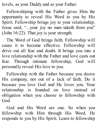levels, as your Daddy and as your Father.

Fellowshiping with the Father gives Him the opportunity to reveal His Word to you by His Spirit. Fellowship brings joy to your relationship. Jesus said, "...your joy no man taketh from you" (John 16:22). That joy is your strength.

The Word of God brings faith. Fellowship will cause it to become effective. Fellowship will drive out all fear and doubt. It brings you into a love relationship with the Father and love casts out fear. Through intimate fellowship, God will personally reveal His love to you.

Fellowship with the Father because you desire His company, not out of a lack of faith. Do it because you love God and He loves you. Your relationship is founded on love instead of obligation when you choose to fellowship with God.

God and His Word are one. So when you fellowship with Him through His Word, He responds to you by His Spirit. Learn to fellowship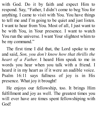with God. Do it by faith and expect Him to respond. Say, "Father, I didn't come to beg You for anything. I came to visit with You. You have things to tell me and I'm going to be quiet and just listen. I want to hear from You. Most of all, I just want to be with You, in Your presence. I want to watch You run the universe. I want Your slightest whim to be my command."

The first time I did that, the Lord spoke to me and said, *Son, you don't know how that thrills the heart of a Father.* I heard Him speak to me in words you hear when you talk with a friend. I heard it in my heart as if it were an audible voice. Psalm 16:11 says fullness of joy is in His presence. What joy it brought!

He enjoys our fellowship, too. It brings Him fulfillment and joy as well. The greatest times you will ever have are times spent fellowshiping with God!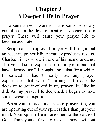## **Chapter 9 A Deeper Life in Prayer**

To summarize, I want to share some necessary guidelines in the development of a deeper life in prayer. These will cause your prayer life to become accurate.

Scriptural principles of prayer will bring about an accurate prayer life. Accuracy produces results. Charles Finney wrote in one of his memorandums: "I have had some experiences in prayer of late that have alarmed me." I thought about that for a while. I realized I hadn't really had any prayer experiences that were "alarming." I made the decision to get involved in my prayer life like he did. As my prayer life deepened, I began to have some awesome experiences.

When you are accurate in your prayer life, you are operating out of your spirit rather than just your mind. Your spiritual ears are open to the voice of God. Train yourself not to make a move without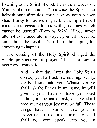listening to the Spirit of God. He is the intercessor. You are the mouthpiece. "Likewise the Spirit also helpeth our infirmities: for we know not what we should pray for as we ought: but the Spirit itself maketh intercession for us with groanings which cannot be uttered" (Romans 8:26). If you never attempt to be accurate in prayer, you will never be sure about the results. You'll just be hoping for something to happen.

The coming of the Holy Spirit changed the whole perspective of prayer. This is a key to accuracy. Jesus said,

> And in that day [after the Holy Spirit comes] ye shall ask me nothing. Verily, verily, I say unto you, Whatsoever ye shall ask the Father in my name, he will give it you. Hitherto have ye asked nothing in my name: ask, and ye shall receive, that your joy may be full. These things have I spoken unto you in proverbs: but the time cometh, when I shall no more speak unto you in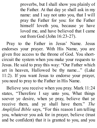proverbs, but I shall show you plainly of the Father. At that day ye shall ask in my name: and I say not unto you, that I will pray the Father for you: for the Father himself loveth you, because ye have loved me, and have believed that I came out from God (John 16:23-27).

Pray to the Father in Jesus' Name. Jesus endorses your prayer. With His Name, you are given free access to the throne of God. You shortcircuit the system when you make your requests to Jesus. He said to pray this way: "Our Father which art in heaven, Hallowed be thy name..." (Luke 11:2). If you want Jesus to endorse your prayer, you need to pray to the Father in His Name.

Believe you receive when you pray. Mark 11:24 states, "Therefore I say unto you, What things soever ye desire, when ye pray, believe that ye receive them, and ye shall have them." *The Amplified Bible* says, "For this reason I am telling you, whatever you ask for in prayer, believe (trust and be confident) that it is granted to you, and you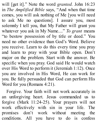will [get it]." Note the word *granted.* John 16:23 in *The Amplified Bible* says, "And when that time comes, you will ask nothing of Me [you will need to ask Me no questions]. I assure you, most solemnly I tell you, that My Father will grant you whatever you ask in My Name...." *To grant* means "to bestow possession of by title or deed." You need no other evidence than God's Word. Believe you receive. Learn to do this every time you pray and learn to pray with your Bible open. Don't major on the problem. Start with the answer. Be specific when you pray. God said He would watch over His Word to perform it (Jeremiah 1:12). Once you are involved in His Word, He can work for you. Be fully persuaded that God can perform His Word for you (Romans 4:21).

Forgive. Your faith will not work accurately in an unforgiving heart. Jesus commanded us to forgive (Mark 11:24-25). Your prayers will not work effectively with sin in your life. The promises don't work without meeting the conditions. All you have to do is confess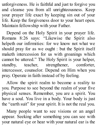unforgiveness. He is faithful and just to forgive you and cleanse you from all unrighteousness. Keep your prayer life exact by keeping sin out of your life. Keep the forgiveness door to your heart open. Maintain fellowship with your Father.

Depend on the Holy Spirit in your prayer life. Romans 8:26 says: "Likewise the Spirit also helpeth our infirmities: for we know not what we should pray for as we ought : but the Spirit itself maketh intercession for us with groanings which cannot be uttered." The Holy Spirit is your helper, standby, teacher, strengthener, comforter, intercessor, counselor. Depend on Him when you pray. Operate in faith instead of by feeling.

Allow the spirit realm to become a reality to you. Purpose to see beyond the realm of your five physical senses. Remember, you are a spirit. You have a soul. You live in a body. Your body is just the "earth suit" for your spirit. It is not the real you.

Many people want to see visions or an angel appear. Seeking after something you can see with your natural eye or hear with your natural ear is the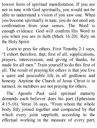lowest form of spiritual manifestation. If you are not in tune with God spiritually, you would not be able to understand a vision if you saw one. When you become spiritually in tune, you do not need any confirmation from your senses. The Word is enough evidence. God will confirm His Word to you when you are in faith (Mark 16:20). Rely on the Holy Spirit.

Learn to pray for others. First Timothy 2:1 says, "I exhort therefore, that, first of all, supplications, prayers, intercessions, and giving of thanks, be made for all men." Train yourself to do this first of all. The result of praying for others is that you live a quiet and peaceable life in all godliness and honesty. Anytime the Church of Jesus Christ is in turmoil, its members are not praying for others.

The Apostle Paul said spiritual maturity demands each believer does his part (Ephesians 4:15-16). Verse 16 says, "From whom the whole body fitly joined together and compacted by that which every joint supplieth, according to the effectual working in the measure of every part,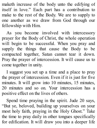maketh increase of the body unto the edifying of itself in love." Each part has a contribution to make to the rest of the Body. We are to supply to one another as we draw from God through our fellowship with Him.

As you become involved with intercessory prayer for the Body of Christ, the whole operation will begin to be successful. When you pray and supply the things that cause the Body to be compacted together, Satan cannot tear it down. Pray the prayer of intercession. It will cause us to come together in unity.

I suggest you set up a time and a place to pray the prayer of intercession. Even if it is just for five minutes. It will grow into 10 minutes, 15 minutes, 20 minutes and so on. Your intercession has a positive effect on the lives of others.

Spend time praying in the spirit. Jude 20 says, "But ye, beloved, building up yourselves on your most holy faith, praying in the Holy Ghost." Take the time to pray daily in other tongues specifically for edification. It will draw you into a deeper life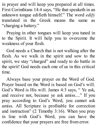in prayer and will keep you prepared at all times. First Corinthians 14:4 says, "He that speaketh in an unknown tongue edifieth himself." The word *edify* translated in the Greek means the same as "charging a battery."

Praying in other tongues will keep you tuned in to the Spirit. It will help you to overcome the weakness of your flesh.

God needs a Church that is not walking after the flesh. As we walk in the spirit and sow to the spirit, we stay "charged" and ready to do battle in the spirit! God needs each one of us in this critical time.

Always base your prayer on the Word of God. Prayer based on the Word is based on God's will. God's Word is His will. James 4:3 says, " Ye ask, and receive not, because ye ask amiss...." If you pray according to God's Word, you cannot ask amiss. All Scripture is profitable for correction and instruction" (2 Timothy 3:16). When you pray in line with God's Word, you can have the confidence that your prayers are free from error.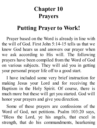## **Chapter 10 Prayers**

### **Putting Prayer to Work!**

Prayer based on the Word is already in line with the will of God. First John 5:14-15 tells us that we know God hears us and answers our prayer when we ask according to His will. The following prayers have been compiled from the Word of God on various subjects. They will aid you in getting your personal prayer life off to a good start.

I have included some very brief instruction for making Jesus your Lord and for receiving the Baptism in the Holy Spirit. Of course, there is much more but these will get you started. God will honor your prayers and give you direction.

Some of these prayers are confessions of the Word of God, not petitions. Psalm 103:20 says, "Bless the Lord, ye his angels, that excel in strength, that do his commandments, hearkening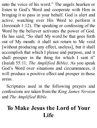unto the voice of his word." The angels hearken or listen to God's Word and cooperate with Him in bringing it to pass in your behalf. God is alert and active, watching over His Word to perform it (Jeremiah 1:12). The speaking or confessing of the Word by the believer activates the power of God. He has said, "So shall My word be that goes forth out of My mouth: it shall not return to Me void [without producing any effect, useless], but it shall accomplish that which I please and purpose, and it shall prosper in the thing for which I sent it" (Isaiah 55:11, *The Amplified Bible).* As you speak God's Word over situations and circumstances, it will produce a positive effect and prosper in those areas.

Scriptures used in the following prayers and confessions are taken from the *King James Version* and *The Amplified Bible.*

## **To Make Jesus the Lord of Your Life**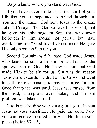Do you know where you stand with God?

If you have never made Jesus the Lord of your life, then you are separated from God through sin. You are the reason God sent Jesus to the cross. John 3:16 says, "For God so loved the world, that he gave his only begotten Son, that whosoever believeth in him should not perish, but have everlasting life." God loved you so much He gave His only begotten Son for you.

Second Corinthians 5:21 says God made Jesus, who knew no sin, to be sin for us. Jesus is the spotless Son of God. He knew no sin, but God made Him to be sin for us. Sin was the reason Jesus came to earth. He died on the Cross and went to hell for one reason: to pay the price for sin. Once that price was paid, Jesus was raised from the dead, triumphant over Satan, and the sin problem was taken care of.

God is not holding your sin against you. He sent Jesus as your substitute. He paid the debt. Now you can receive the credit for what He did in your place (Isaiah 53:3-5).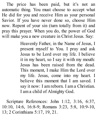The price has been paid, but it's not an automatic thing. You must choose to accept what He did for you and receive Him as your personal Savior. If you have never done so, choose Him now. Repent of your sin (turn totally from it) and pray this prayer. When you do, the power of God will make you a new creature in Christ Jesus. Say:

> Heavenly Father, in the Name of Jesus, I present myself to You. I pray and ask Jesus to be Lord over my life. I believe it in my heart, so I say it with my mouth: Jesus has been raised from the dead. This moment, I make Him the Lord over my life. Jesus, come into my heart. I believe this moment that I am saved. I say it now: I am reborn. I am a Christian. I am a child of Almighty God.

Scripture References: John 1:12, 3:16, 6:37, 10:10, 14:6, 16:8-9; Romans 3:23, 5:8, 10:9-10, 13; 2 Corinthians 5:17, 19, 21.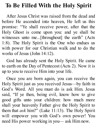## **To Be Filled With the Holy Spirit**

After Jesus Christ was raised from the dead and before He ascended into heaven, He left us this promise: "Ye shall receive power, after that the Holy Ghost is come upon you: and ye shall be witnesses unto me...[throughout] the earth" (Acts 1:8). The Holy Spirit is the One who endues us with power for our Christian walk and to do the works of Jesus (John 14:12).

God has already sent the Holy Spirit. He came to earth on the Day of Pentecost (Acts 2). Now it is up to you to receive Him into your life.

Once you are born again, you can receive the Holy Spirit just as you received Jesus—by faith in God's Word. All you must do is ask Him. Jesus said, "If ye then, being evil, know how to give good gifts unto your children: how much more shall your heavenly Father give the Holy Spirit to them that *ask* him?" (Luke 11:13). The Holy Spirit will empower you with God's own power! You need His power working in you— ask Him now.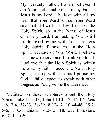My heavenly Father, I am a believer. I am Your child and You are my Father. Jesus is my Lord. I believe with all my heart that Your Word is true. Your Word says that, if I will ask, I will receive the Holy Spirit, so in the Name of Jesus Christ my Lord, I am asking You to fill me to overflowing with Your precious Holy Spirit. Baptize me in the Holy Spirit. Because of Your Word, I believe that I now receive and I thank You for it. I believe that the Holy Spirit is within me and, by faith, I accept it. Now, Holy Spirit, rise up within me as I praise my God. I fully expect to speak with other tongues as You give me the utterance.

Meditate on these scriptures about the Holy Spirit: Luke 11:9-13; John 14:10, 12, 16-17; Acts 1:8, 2:4, 32-33, 38-39, 8:12-17, 10:44-46, 19:2, 5-6; 1 Corinthians 14:2-15, 18, 27; Ephesians 6:18; Jude 20.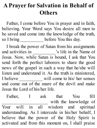## **A Prayer for Salvation in Behalf of Others**

Father, I come before You in prayer and in faith, believing. Your Word says You desire all men to be saved and come into the knowledge of the truth, so I bring \_\_\_\_\_\_\_\_\_\_\_ before You this day.

I break the power of Satan from his assignments and activities in \_\_\_\_\_\_\_\_\_\_\_'s life in the Name of Jesus. Now, while Satan is bound, I ask that You send forth the perfect laborers to share the good news of the gospel in such a way that he/she will listen and understand it. As the truth is ministered, I believe \_\_\_\_\_\_\_\_\_\_ will come to his/ her senses and come out of the snare of the devil and make Jesus the Lord of his/her life.

Father, I ask that You fill with the knowledge of Your will in all wisdom and spiritual understanding. As I intercede in his/her behalf, I believe that the power of the Holy Spirit is activated and from this moment on, I shall praise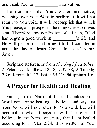and thank You for  $\sim$  's salvation.

I am confident that You are alert and active, watching over Your Word to perform it. It will not return to You void. It will accomplish that which You please, and prosper in the thing whereto it was sent. Therefore, my confession of faith is, "God has begun a good work in \_\_\_\_\_\_\_\_\_\_\_'s life and He will perform it and bring it to full completion until the day of Jesus Christ. In Jesus' Name. Amen.

Scripture References from *The Amplified Bible:* 2 Peter 3:9; Matthew 18:18, 9:37-38; 2 Timothy 2:26; Jeremiah 1:12; Isaiah 55:11; Philippians 1:6.

#### **A Prayer for Health and Healing**

Father, in the Name of Jesus, I confess Your Word concerning healing. I believe and say that Your Word will not return to You void, but will accomplish what it says it will. Therefore, I believe in the Name of Jesus, that I am healed according to 1 Peter 2:24. It is written in Your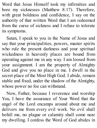Word that Jesus Himself took my infirmities and bore my sicknesses (Matthew 8:17). Therefore, with great boldness and confidence, I say on the authority of that written Word that I am redeemed from the curse of sickness and I refuse to tolerate its symptoms.

Satan, I speak to you in the Name of Jesus and say that your principalities, powers, master spirits who rule the present darkness and your spiritual wickedness in heavenly places are bound from operating against me in any way. I am loosed from your assignment. I am the property of Almighty God and give you no place in me. I dwell in the secret place of the Most High God. I abide, remain stable and fixed, under the shadow of the Almighty, whose power no foe can withstand.

Now, Father, because I reverence and worship You, I have the assurance of Your Word that the angel of the Lord encamps around about me and delivers me from every evil work. No evil shall befall me, no plague or calamity shall come near my dwelling. I confess the Word of God abides in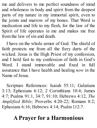me and delivers to me perfect soundness of mind and wholeness in body and spirit from the deepest parts of my nature in my immortal spirit, even to the joints and marrow of my bones. That Word is medication and life to my flesh, for the law of the Spirit of life operates in me and makes me free from the law of sin and death.

I have on the whole armor of God. The shield of faith protects me from all the fiery darts of the wicked. Jesus is the High Priest of my confession, and I hold fast to my confession of faith in God's Word. I stand immovable and fixed in full assurance that I have health and healing *now* in the Name of Jesus.

Scripture References: Isaiah 55:11; Galatians 3:13; Ephesians 6:12; 2 Corinthians 10:4; James 4:7; Psalms 91:1, 34:7, 91:10; Hebrews 4:12, *The Amplified Bible;* Proverbs 4:20-22; Romans 8:2; Ephesians 6:16; Hebrews 4:14; Psalm 112:7.

## **A Prayer for a Harmonious**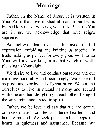#### **Marriage**

Father, in the Name of Jesus, it is written in Your Word that love is shed abroad in our hearts by the Holy Ghost who is given to us. Because You are in us, we acknowledge that love reigns supreme.

We believe that love is displayed in full expression, enfolding and knitting us together in truth, making us perfect for every good work to do Your will and working in us that which is wellpleasing in Your sight.

We desire to live and conduct ourselves and our marriage honorably and becomingly. We esteem it as precious, worthy and of great price. We commit ourselves to live in mutual harmony and accord with one another, delighting in each other, being of the same mind and united in spirit.

Father, we believe and say that we are gentle, compassionate, courteous, tenderhearted and humble-minded. We seek peace and it keeps our hearts in quietness and assurance. Because we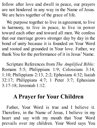follow after love and dwell in peace, our prayers are not hindered in any way in the Name of Jesus. We are heirs together of the grace of life.

We purpose together to live in agreement, to live in harmony, to live in peace, to live in power toward each other and toward all men. We confess that our marriage grows stronger day by day in the bond of unity because it is founded on Your Word and rooted and grounded in Your love. Father, we thank You for the performance of it in Jesus' Name.

Scripture References from *The Amplified Bible:* Romans 5:5; Philippians 1:9; Colossians 3:14, 1:10; Philippians 2:13, 2:2; Ephesians 4:32; Isaiah 32:17; Philippians 4:7; 1 Peter 3:7; Ephesians 3:17-18; Jeremiah 1:12.

#### **A Prayer for Your Children**

Father, Your Word is true and I believe it. Therefore, in the Name of Jesus, I believe in my heart and say with my mouth that Your Word prevails over my children. Your Word says You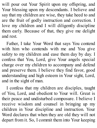will pour out Your Spirit upon my offspring, and Your blessing upon my descendants. I believe and say that my children are wise, they take heed to and are the fruit of godly instruction and correction. I love my children and I will diligently discipline them early. Because of that, they give me delight and rest.

Father, I take Your Word that says You contend with him who contends with me and You give safety to my children and ease them day by day. I confess that You, Lord, give Your angels special charge over my children to accompany and defend and preserve them. I believe they find favor, good understanding and high esteem in Your sight, Lord, and in the sight of man.

I confess that my children are disciples, taught of You, Lord, and obedient to Your will. Great is their peace and undisturbed composure. I believe I receive wisdom and counsel in bringing up my children in Your discipline and instruction. Your Word declares that when they are old they will not depart from it. So, I commit them into Your keeping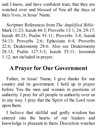and I know, and have confident trust, that they are watched over and blessed of You all the days of their lives, in Jesus' Name.

Scripture References from *The Amplified Bible:* Mark 11:23; Isaiah 44:3; Proverbs 13:1, 24, 29:17; Isaiah 49:25; Psalm 91:11; Proverbs 3:4; Isaiah 54:13; Proverbs 2:6; Ephesians 6:4; Proverbs 22:6; Deuteronomy 28:6. Also see Deuteronomy 28:13; Psalm 127:3-5; Isaiah 55:11; Jeremiah 1:12, not included in prayer.

## **A Prayer for Our Government**

Father, in Jesus' Name, I give thanks for our country and its government. I hold up in prayer before You the men and women in positions of authority. I pray for all people in authority over us in any way. I pray that the Spirit of the Lord rests upon them.

I believe that skillful and godly wisdom has entered into the hearts of our leaders and knowledge is pleasant to them. Discretion watches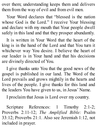over them; understanding keeps them and delivers them from the way of evil and from evil men.

Your Word declares that "blessed is the nation whose God is the Lord." I receive Your blessing and declare with my mouth that Your people dwell safely in this land and that they prosper abundantly.

It is written in Your Word that the heart of the king is in the hand of the Lord and that You turn it whichever way You desire. I believe the heart of our leader is in Your hand and that his decisions are divinely directed of You.

I give thanks unto You that the good news of the gospel is published in our land. The Word of the Lord prevails and grows mightily in the hearts and lives of the people. I give thanks for this land and the leaders You have given to us, in Jesus' Name.

I proclaim that Jesus is Lord over my country.

Scripture References: 1 Timothy 2:1-2; Proverbs 2:11-12; *The Amplified Bible:* Psalm 33:12; Proverbs 21:1. Also see Jeremiah 1:12, not included in prayer.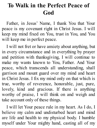#### **To Walk in the Perfect Peace of God**

Father, in Jesus' Name, I thank You that Your peace is my covenant right in Christ Jesus. I will keep my mind fixed on You, trust in You, and You will keep me in perfect peace.

I will not fret or have anxiety about anything, but in every circumstance and in everything by prayer and petition with thanksgiving, I will continue to make my wants known to You, Father. And Your peace, which transcends all understanding, shall garrison and mount guard over my mind and heart in Christ Jesus. I fix my mind only on that which is true, worthy of reverence, honorable, just, pure, lovely, kind and gracious. If there is anything worthy of praise, I will think on and weigh and take account only of these things.

I will let Your peace rule in my heart. As I do, I believe my calm and undisturbed heart and mind are life and health to my physical body. I humble myself under Your mighty hand, casting all of my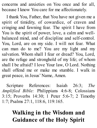concerns and anxieties on You once and for all, because I know You care for me affectionately.

I thank You, Father, that You have not given me a spirit of timidity, of cowardice, of craven and cringing and fawning fear. The spirit I have from You is the spirit of power, love, a calm and wellbalanced mind, and of discipline and self-control. You, Lord, are on my side. I will not fear. What can man do to me? You are my light and my salvation. Whom shall I fear or dread? You, Lord, are the refuge and stronghold of my life; of whom shall I be afraid? I love Your law, O Lord. Nothing shall offend me or make me stumble. I walk in great peace, in Jesus' Name, Amen.

Scripture References: Isaiah 26:3; *The Amplified Bible:* Philippians 4:6-8; Colossians 3:15; Proverbs 14:30; 1 Peter 5:6-7; 2 Timothy 1:7; Psalms 27:1, 118:6, 119:165.

## **Walking in the Wisdom and Guidance of the Holy Spirit**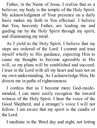Father, in the Name of Jesus, I realize that as a believer, my body is the temple of the Holy Spirit. My acknowledgment of Your presence on a daily basis makes my faith in You effectual. I believe that You, heavenly Father, are leading me and guiding me by the Holy Spirit through my spirit, and illuminating my mind.

As I yield to the Holy Spirit, I believe that my steps are ordered of the Lord. I commit and trust myself wholly to His guidance, expecting Him to cause my thoughts to become agreeable to His will, so my plans will be established and succeed. I trust in the Lord with all my heart and lean not on my own understanding. As I acknowledge Him, He directs me in paths of righteousness.

I confess that as I become more God-insideminded, I can more easily recognize the inward witness of the Holy Spirit. I hear the voice of the Good Shepherd, and a stranger's voice I will not follow. I am aware that my spirit is the candle of the Lord.

I meditate in the Word day and night, not letting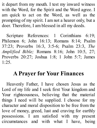it depart from my mouth. I test my inward witness with the Word, for the Spirit and the Word agree. I am quick to act on the Word, as well as the prompting of my spirit. I am not a hearer only, but a doer. Therefore, I am blessed in all my deeds.

Scripture References: 1 Corinthians 6:19; Philemon 6; John 16:13; Romans 8:14; Psalm 37:23; Proverbs 16:3, 3:5-6; Psalm 23:3, *The Amplified Bible;* Romans 8:16; John 10:5, 27; Proverbs 20:27; Joshua 1:8; 1 John 5:7; James  $1.25$ 

## **A Prayer for Your Finances**

Heavenly Father, I have chosen Jesus as the Lord of my life and I seek first Your kingdom and Your righteousness, believing that the material things I need will be supplied. I choose for my character and moral disposition to be free from the love of money, greed, lust and craving for earthly possessions. I am satisfied with my present circumstances and with what I have, being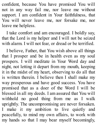confident, because You have promised You will not in any way fail me, nor leave me without support. I am confident in Your faithfulness, that You will never leave me, nor forsake me, nor leave me helpless.

I take comfort and am encouraged. I boldly say, that the Lord is my helper and I will not be seized with alarm. I will not fear, or dread or be terrified.

I believe, Father, that You wish above all things that I prosper and be in health even as my soul prospers. I will meditate in Your Word day and night, not letting it depart from my mouth, keeping it in the midst of my heart, observing to do all that is written therein. I believe then I shall make my way prosperous and have good success. You have promised that as a doer of the Word I will be blessed in all my deeds. I am assured that You will withhold no good thing from me as I walk uprightly. The uncompromising are never forsaken. I make it my ambition to live quietly and peacefully, to mind my own affairs, to work with my hands so that I may bear myself becomingly,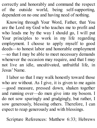correctly and honorably and command the respect of the outside world, being self-supporting, dependent on no one and having need of nothing.

Knowing through Your Word, Father, that You are the Lord my God who teaches me to profit and who leads me by the way I should go, I will put Your principles to work in my life regarding employment. I choose to apply myself to good deeds—to honest labor and honorable employment —so that I may be able to meet necessary demands whenever the occasion may require, and that I may not live an idle, uncultivated, unfruitful life, in Jesus' Name.

I labor so that I may walk honestly toward those who are without. As I give, it is given to me again —good measure, pressed down, shaken together and running over—do men give into my bosom. I do not sow sparingly and grudgingly, but rather, I sow generously, blessing others. Therefore, I can expect to reap generously and with blessings.

Scripture References: Matthew 6:33; Hebrews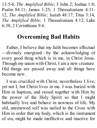13:5-6, *The Amplified Bible*; 3 John 2; Joshua 1:8; Psalm 84:11; James 1:25; 1 Thessalonians 4:11- 12, *The Amplified Bible;* Isaiah 48:17; Titus 3:14, *The Amplified Bible;* 1 Thessalonians 4:12; Luke 6:38; 2 Corinthians 9:6.

## **Overcoming Bad Habits**

Father, I believe that my faith becomes effectual —divinely energized—by the acknowledging of every good thing which is in me, in Christ Jesus. Through my union with Christ, I am a new creature. Old things are passed away and all things have become new.

I was crucified with Christ, nevertheless I live, yet not I, but Christ lives in me. I was buried with Him in baptism, and raised together with Him by the power of the Holy Spirit so that I might habitually live and behave in newness of life. My old, unrenewed self was nailed to the Cross with Him in order that my body, which is the instrument of sin, might be made ineffective and inactive for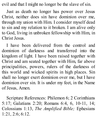evil and that I might no longer be the slave of sin.

Just as death no longer has power over Jesus Christ, neither does sin have dominion over me, through my union with Him. I consider myself dead to sin and my relation to it broken. I am alive only to God, living in unbroken fellowship with Him, in Christ Jesus.

I have been delivered from the control and dominion of darkness and transferred into the kingdom of light. I have been raised together with Christ and am seated together with Him, far above principalities, powers, rulers of the darkness of this world and wicked spirits in high places. Sin shall no longer exert dominion over me, but I have dominion over sin. It is under my feet, in the Name of Jesus, Amen.

Scripture References: Philemon 6; 2 Corinthians 5:17; Galatians 2:20; Romans 6:4, 6, 10-11, 14; Colossians 1:13, *The Amplified Bible;* Ephesians 1:21, 2:6; 6:12.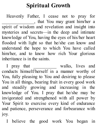# **Spiritual Growth**

Heavenly Father, I cease not to pray for \_\_\_\_\_\_\_\_\_\_\_\_\_\_, that You may grant him/her a spirit of wisdom and revelation and insight into mysteries and secrets—in the deep and intimate knowledge of You, having the eyes of his/her heart flooded with light so that he/she can know and understand the hope to which You have called him/her, and to know how rich Your glorious inheritance is in the saints.

I pray that \_\_\_\_\_\_\_\_\_\_ walks, lives and conducts himself/herself in a manner worthy of You, fully pleasing to You and desiring to please You in all things, bearing fruit in every good work and steadily growing and increasing in the knowledge of You. I pray that he/she may be invigorated and strengthened with all power by Your Spirit to exercise every kind of endurance and patience, perseverance and forbearance with joy.

I believe the good work You began in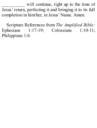will continue, right up to the time of Jesus' return, perfecting it and bringing it to its full completion in him/her, in Jesus' Name. Amen.

Scripture References from *The Amplified Bible:* Ephesians 1:17-19; Colossians 1:10-11; Philippians 1:6.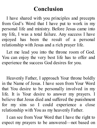#### **Conclusion**

I have shared with you principles and precepts from God's Word that I have put to work in my personal life and ministry. Before Jesus came into my life, I was a total failure. Any success I have enjoyed has been the result of a personal relationship with Jesus and a rich prayer life.

Let me lead you into the throne room of God. You can enjoy the very best life has to offer and experience the success God desires for you.

Heavenly Father, I approach Your throne boldly in the Name of Jesus. I have seen from Your Word that You desire to be personally involved in my life. It is Your desire to answer my prayers. I believe that Jesus died and suffered the punishment for my sins so I could experience a close relationship with You as my heavenly Father.

I can see from Your Word that I have the right to expect my prayers to be answered—not based on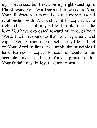my worthiness, but based on my right-standing in Christ Jesus. Your Word says if I draw near to You, You will draw near to me. I desire a more personal relationship with You and want to experience a rich and successful prayer life. I thank You for the love You have expressed toward me through Your Word. I will respond to that love right now and expect You to manifest Yourself in my life as I act on Your Word in faith. As I apply the principles I have learned, I expect to see the results of an accurate prayer life. I thank You and praise You for Your faithfulness, in Jesus' Name. Amen!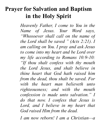### **Prayer for Salvation and Baptism in the Holy Spirit**

*Heavenly Father, I come to You in the Name of Jesus. Your Word says, "Whosoever shall call on the name of the Lord shall be saved " (Acts 2:21). I am calling on You. I pray and ask Jesus to come into my heart and be Lord over my life according to Romans 10:9-10: "If thou shalt confess with thy mouth the Lord Jesus, and shalt believe in thine heart that God hath raised him from the dead, thou shalt be saved. For with the heart man believeth unto righteousness; and with the mouth confession is made unto salvation." I do that now. I confess that Jesus is Lord, and I believe in my heart that God raised Him from the dead.*

*I am now reborn! I am a Christian—a*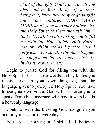*child of Almighty God! I am saved! You also said in Your Word, "If ye then, being evil, know how to give good gifts unto your children: HOW MUCH MORE shall your heavenly Father give the Holy Spirit to them that ask him?" (Luke 11:13). I'm also asking You to fill me with the Holy Spirit. Holy Spirit, rise up within me as I praise God. I fully expect to speak with other tongues as You give me the utterance (Acts 2:4). In Jesus' Name. Amen!*

Begin to praise God for filling you with the Holy Spirit. Speak those words and syllables you receive—not in your own language, but the language given to you by the Holy Spirit. You have to use your own voice. God will not force you to speak. Don't be concerned with how it sounds. It is a heavenly language!

Continue with the blessing God has given you and pray in the spirit every day.

You are a born-again, Spirit-filled believer.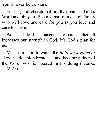You'll never be the same!

Find a good church that boldly preaches God's Word and obeys it. Become part of a church family who will love and care for you as you love and care for them.

We need to be connected to each other. It increases our strength in God. It's God's plan for us.

Make it a habit to watch the *Believer's Voice of Victory* television broadcast and become a doer of the Word, who is blessed in his doing ( James 1:22-25).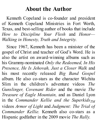#### **About the Author**

Kenneth Copeland is co-founder and president of Kenneth Copeland Ministries in Fort Worth, Texas, and best-selling author of books that include *How to Discipline Your Flesh* and *Honor— Walking in Honesty, Truth and Integrity.*

Since 1967, Kenneth has been a minister of the gospel of Christ and teacher of God's Word. He is also the artist on award-winning albums such as his Grammy-nominated *Only the Redeemed, In His Presence, He Is Jehovah, Just a Closer Walk* and his most recently released *Big Band Gospel* album. He also co-stars as the character Wichita Slim in the children's adventure videos *The Gunslinger, Covenant Rider* and the movie *The Treasure of Eagle Mountain,* and as Daniel Lyon in the *Commander Kellie and the SuperkidsTM* videos *Armor of Light* and *Judgment: The Trial of Commander Kellie.* Kenneth also co-stars as a Hispanic godfather in the 2009 movie *The Rally.*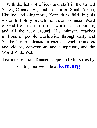With the help of offices and staff in the United States, Canada, England, Australia, South Africa, Ukraine and Singapore, Kenneth is fulfilling his vision to boldly preach the uncompromised Word of God from the top of this world, to the bottom, and all the way around. His ministry reaches millions of people worldwide through daily and Sunday TV broadcasts, magazines, teaching audios and videos, conventions and campaigns, and the World Wide Web.

Learn more about Kenneth Copeland Ministries by visiting our website at **kcm.org**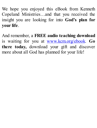We hope you enjoyed this eBook from Kenneth Copeland Ministries…and that you received the insight you are looking for into **God's plan for your life**.

And remember, a **FREE audio teaching download** is waiting for you at www.kcm.org/ebook. **Go there today,** download your gift and discover more about all God has planned for your life!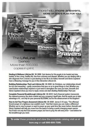

Healing & Wellness LifeLine Kit 30-3000 God desires for His people to be healed and stay healed, to live a long, healthy life, free from sickness and disease. Whether you are dealing with a dire diagnosis from a doctor or just desiring to live life to its fullest. Kenneth and Gloria Copeland have a lifesaving message for you in this interactive LifeLine kit.

Building Relationships That Last LifeLine Kit 30-3020 As Christians, our relationships should be rich and rewarding-oodly connections that sour us on to great things in God. Whether you need broken relationships repaired or just need to strengthen the ones you have. Kenneth and Gloria Copeland show you how to repair, renew and start Building Relationships That Last.

Complete Financial Breakthrough LifeLine Kit 30-3010 God's financial system transcends the national economy, the stock market and any company's layoff plan. And He wants you to take advantage of it... not only for your personal BLESSING, but for the advancement of His kingdom!

How to Get Your Prayers Answered LifeLine Kit 30-3030 James 5:16 says. "The effectual fervent prayer of a righteous man availeth much." And that means you can make a difference! Whether you're new to prayer or want to power up your quiet time like never before, Kenneth and Gloria Copeland will help you move from the basics to being a world-changing prayer warrior. You'll learn not only that God answers prayer, but how to pray His will every time-and believe for the breakthrough you need.

To order these products and view the complete catalog visit us at kcm org or call 800-600-7395.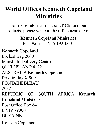# **World Offices Kenneth Copeland Ministries**

For more information about KCM and our products, please write to the office nearest you:

> **Kenneth Copeland Ministries** Fort Worth, TX 76192-0001

#### **Kenneth Copeland**

Locked Bag 2600 Mansfield Delivery Centre QUEENSLAND 4122 AUSTRALIA **Kenneth Copeland** Private Bag X 909 FONTAINEBLEAU 2032 REPUBLIC OF SOUTH AFRICA **Kenneth Copeland Ministries** Post Office Box 84 L'VIV 79000 **UKRAINE** Kenneth Copeland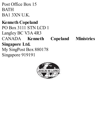Post Office Box 15 **BATH** BA1 3XN U.K.

#### **Kenneth Copeland**

PO Box 3111 STN LCD 1 Langley BC V3A 4R3 CANADA **Kenneth Copeland Ministries Singapore Ltd.** My SingPost Box 880178 Singapore 919191

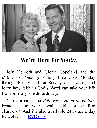

# **We're Here for You!®**

Join Kenneth and Gloria Copeland and the *Believer's Voice of Victory* broadcasts Monday through Friday and on Sunday each week, and learn how faith in God's Word can take your life from ordinary to extraordinary.

You can catch the *Believer's Voice of Victory* broadcast on your local, cable or satellite channels.\* And it's also available 24 hours a day by webcast at **BVOV.TV**.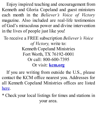Enjoy inspired teaching and encouragement from Kenneth and Gloria Copeland and guest ministers each month in the *Believer's Voice of Victory* magazine. Also included are real-life testimonies of God's miraculous power and divine intervention in the lives of people just like you!

To receive a FREE subscription *Believer's Voice of Victory,* write to: Kenneth Copeland Ministries Fort Worth, TX 76192-0001 Or call: 800-600-7395 Or visit: **kcm.org**

If you are writing from outside the U.S., please contact the KCM office nearest you. Addresses for all Kenneth Copeland Ministries offices are listed here.

\* Check your local listings for times and stations in your area.